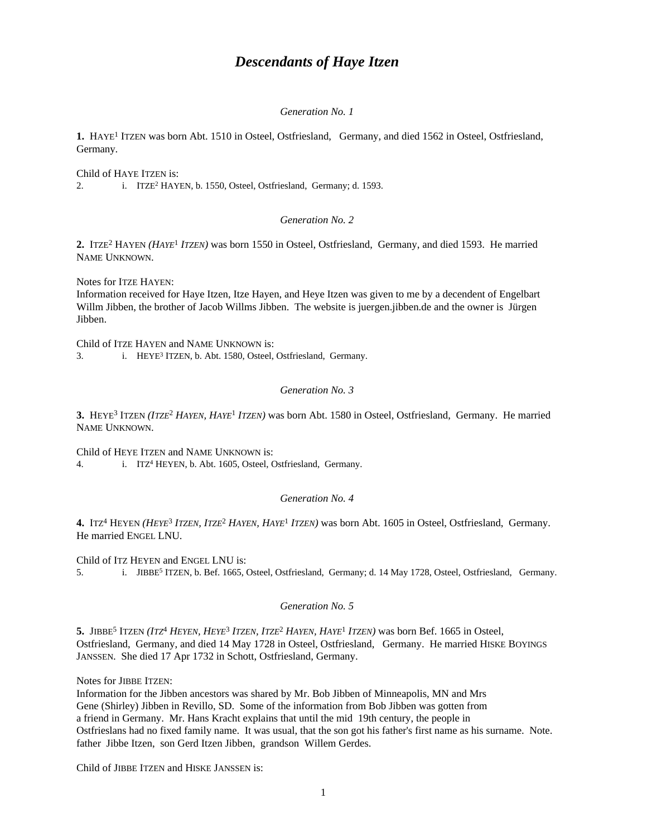# *Descendants of Haye Itzen*

#### *Generation No. 1*

1. HAYE<sup>1</sup> ITZEN was born Abt. 1510 in Osteel, Ostfriesland, Germany, and died 1562 in Osteel, Ostfriesland, Germany.

Child of HAYE ITZEN is: 2. i. ITZE<sup>2</sup> HAYEN, b. 1550, Osteel, Ostfriesland, Germany; d. 1593.

### *Generation No. 2*

2. ITZE<sup>2</sup> HAYEN (*HAYE*<sup>1</sup> *ITZEN*) was born 1550 in Osteel, Ostfriesland, Germany, and died 1593. He married NAME UNKNOWN.

Notes for ITZE HAYEN:

Information received for Haye Itzen, Itze Hayen, and Heye Itzen was given to me by a decendent of Engelbart Willm Jibben, the brother of Jacob Willms Jibben. The website is juergen.jibben.de and the owner is Jürgen Jibben.

Child of ITZE HAYEN and NAME UNKNOWN is: 3. i. HEYE<sup>3</sup> ITZEN, b. Abt. 1580, Osteel, Ostfriesland, Germany.

# *Generation No. 3*

**3.** HEYE<sup>3</sup> ITZEN *(ITZE*<sup>2</sup>  *HAYEN, HAYE*<sup>1</sup>  *ITZEN)* was born Abt. 1580 in Osteel, Ostfriesland, Germany. He married NAME UNKNOWN.

Child of HEYE ITZEN and NAME UNKNOWN is:

4. i. ITZ<sup>4</sup> HEYEN, b. Abt. 1605, Osteel, Ostfriesland, Germany.

#### *Generation No. 4*

**4.** ITZ<sup>4</sup> HEYEN *(HEYE*<sup>3</sup>  *ITZEN, ITZE*<sup>2</sup>  *HAYEN, HAYE*<sup>1</sup>  *ITZEN)* was born Abt. 1605 in Osteel, Ostfriesland, Germany. He married ENGEL LNU.

Child of ITZ HEYEN and ENGEL LNU is: 5. i. JIBBE<sup>5</sup> ITZEN, b. Bef. 1665, Osteel, Ostfriesland, Germany; d. 14 May 1728, Osteel, Ostfriesland, Germany.

#### *Generation No. 5*

5. JIBBE<sup>5</sup> ITZEN (*ITZ<sup>4</sup> HEYEN, HEYE<sup>3</sup> ITZEN, ITZE<sup>2</sup> HAYEN, HAYE<sup>1</sup> ITZEN) was born Bef. 1665 in Osteel,* Ostfriesland, Germany, and died 14 May 1728 in Osteel, Ostfriesland, Germany. He married HISKE BOYINGS JANSSEN. She died 17 Apr 1732 in Schott, Ostfriesland, Germany.

Notes for JIBBE ITZEN:

Information for the Jibben ancestors was shared by Mr. Bob Jibben of Minneapolis, MN and Mrs Gene (Shirley) Jibben in Revillo, SD. Some of the information from Bob Jibben was gotten from a friend in Germany. Mr. Hans Kracht explains that until the mid 19th century, the people in Ostfrieslans had no fixed family name. It was usual, that the son got his father's first name as his surname. Note. father Jibbe Itzen, son Gerd Itzen Jibben, grandson Willem Gerdes.

Child of JIBBE ITZEN and HISKE JANSSEN is: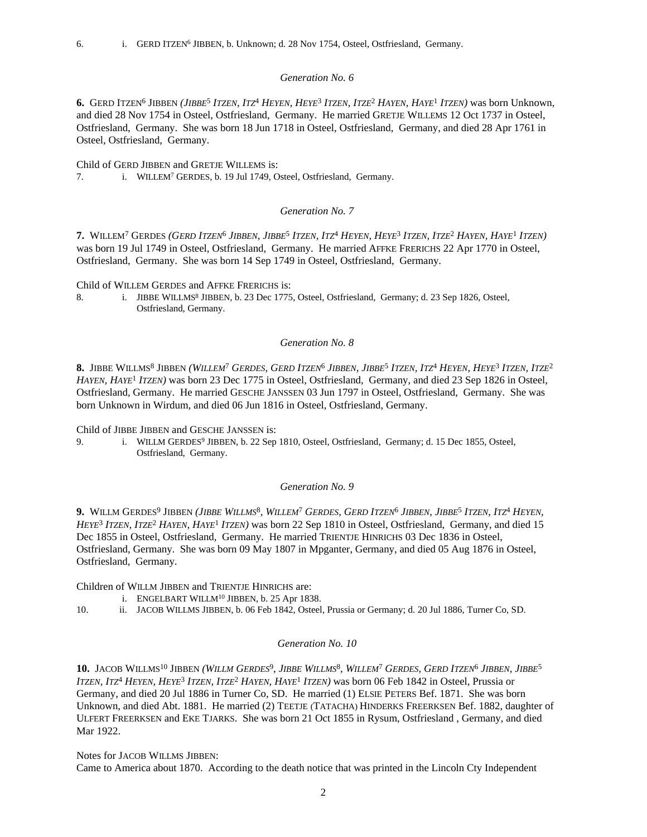#### *Generation No. 6*

6. GERD ITZEN<sup>6</sup> JIBBEN (*JIBBE<sup>5</sup> ITZEN, ITZ<sup>4</sup> HEYEN, HEYE<sup>3</sup> ITZEN, ITZE<sup>2</sup> HAYEN, HAYE<sup>1</sup> ITZEN) was born Unknown,* and died 28 Nov 1754 in Osteel, Ostfriesland, Germany. He married GRETJE WILLEMS 12 Oct 1737 in Osteel, Ostfriesland, Germany. She was born 18 Jun 1718 in Osteel, Ostfriesland, Germany, and died 28 Apr 1761 in Osteel, Ostfriesland, Germany.

Child of GERD JIBBEN and GRETJE WILLEMS is: 7. i. WILLEM<sup>7</sup> GERDES, b. 19 Jul 1749, Osteel, Ostfriesland, Germany.

# *Generation No. 7*

7. Willem<sup>7</sup> Gerdes (*Gerd Itzen<sup>6</sup> Jibben, Jibbe<sup>5</sup> Itzen, Itz<sup>4</sup> Heyen, Heye<sup>3</sup> Itzen, Itze<sup>2</sup> Hayen, Haye<sup>1</sup> Itzen)* was born 19 Jul 1749 in Osteel, Ostfriesland, Germany. He married AFFKE FRERICHS 22 Apr 1770 in Osteel, Ostfriesland, Germany. She was born 14 Sep 1749 in Osteel, Ostfriesland, Germany.

Child of WILLEM GERDES and AFFKE FRERICHS is:

8. i. JIBBE WILLMS<sup>8</sup> JIBBEN, b. 23 Dec 1775, Osteel, Ostfriesland, Germany; d. 23 Sep 1826, Osteel, Ostfriesland, Germany.

# *Generation No. 8*

**8.** Jibbe Willms<sup>8</sup> Jibben (*Willem<sup>t</sup> Gerdes, Gerd Itzen<sup>6</sup> Jibben, Jibbe<sup>5</sup> Itzen, Itz<sup>4</sup> Heyen, Heye<sup>3</sup> Itzen, Itze<sup>2</sup> HAYEN, HAYE*<sup>1</sup>  *ITZEN)* was born 23 Dec 1775 in Osteel, Ostfriesland, Germany, and died 23 Sep 1826 in Osteel, Ostfriesland, Germany. He married GESCHE JANSSEN 03 Jun 1797 in Osteel, Ostfriesland, Germany. She was born Unknown in Wirdum, and died 06 Jun 1816 in Osteel, Ostfriesland, Germany.

Child of JIBBE JIBBEN and GESCHE JANSSEN is:

9. i. WILLM GERDES<sup>9</sup> JIBBEN, b. 22 Sep 1810, Osteel, Ostfriesland, Germany; d. 15 Dec 1855, Osteel, Ostfriesland, Germany.

# *Generation No. 9*

**9.** Willm Gerdes<sup>9</sup> Jibben (*Jibbe Willms<sup>8</sup>, Willem<sup>7</sup> Gerdes, Gerd Itzen<sup>6</sup> Jibben, Jibbe<sup>5</sup> Itzen, Itz<sup>4</sup> Heyen, HEYE*<sup>3</sup>  *ITZEN, ITZE*<sup>2</sup>  *HAYEN, HAYE*<sup>1</sup>  *ITZEN)* was born 22 Sep 1810 in Osteel, Ostfriesland, Germany, and died 15 Dec 1855 in Osteel, Ostfriesland, Germany. He married TRIENTJE HINRICHS 03 Dec 1836 in Osteel, Ostfriesland, Germany. She was born 09 May 1807 in Mpganter, Germany, and died 05 Aug 1876 in Osteel, Ostfriesland, Germany.

Children of WILLM JIBBEN and TRIENTJE HINRICHS are:

- i. ENGELBART WILLM<sup>10</sup> JIBBEN, b. 25 Apr 1838.
- 10. ii. JACOB WILLMS JIBBEN, b. 06 Feb 1842, Osteel, Prussia or Germany; d. 20 Jul 1886, Turner Co, SD.

#### *Generation No. 10*

10. JACOB WILLMS<sup>10</sup> JIBBEN (WILLM GERDES<sup>9</sup>, JIBBE WILLMS<sup>8</sup>, WILLEM<sup>7</sup> GERDES, GERD ITZEN<sup>6</sup> JIBBEN, JIBBE<sup>5</sup> ITZEN, ITZ<sup>4</sup> HEYEN, HEYE<sup>3</sup> ITZEN, ITZE<sup>2</sup> HAYEN, HAYE<sup>1</sup> ITZEN) was born 06 Feb 1842 in Osteel, Prussia or Germany, and died 20 Jul 1886 in Turner Co, SD. He married (1) ELSIE PETERS Bef. 1871. She was born Unknown, and died Abt. 1881. He married (2) TEETJE (TATACHA) HINDERKS FREERKSEN Bef. 1882, daughter of ULFERT FREERKSEN and EKE TJARKS. She was born 21 Oct 1855 in Rysum, Ostfriesland , Germany, and died Mar 1922.

Notes for JACOB WILLMS JIBBEN: Came to America about 1870. According to the death notice that was printed in the Lincoln Cty Independent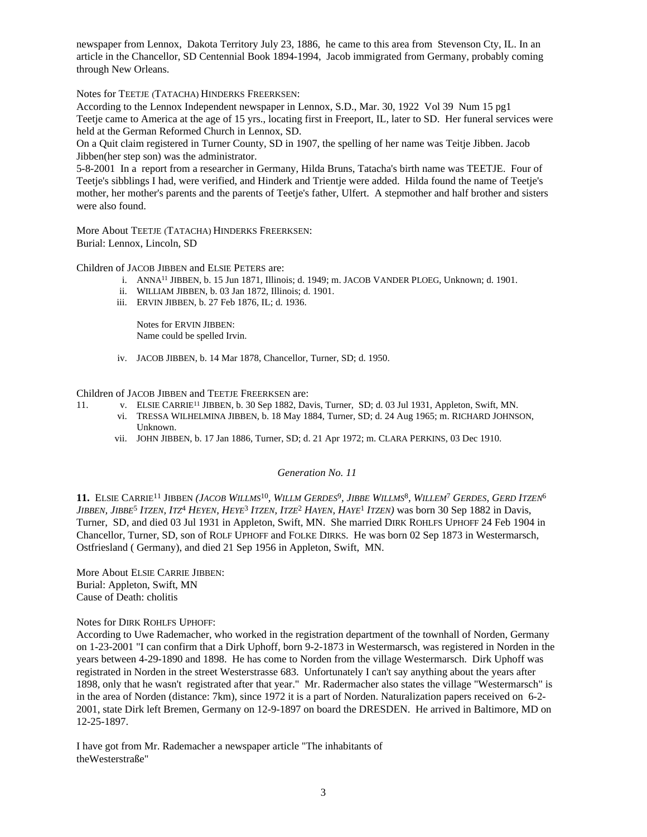newspaper from Lennox, Dakota Territory July 23, 1886, he came to this area from Stevenson Cty, IL. In an article in the Chancellor, SD Centennial Book 1894-1994, Jacob immigrated from Germany, probably coming through New Orleans.

Notes for TEETJE (TATACHA) HINDERKS FREERKSEN:

According to the Lennox Independent newspaper in Lennox, S.D., Mar. 30, 1922 Vol 39 Num 15 pg1 Teetje came to America at the age of 15 yrs., locating first in Freeport, IL, later to SD. Her funeral services were held at the German Reformed Church in Lennox, SD.

On a Quit claim registered in Turner County, SD in 1907, the spelling of her name was Teitje Jibben. Jacob Jibben(her step son) was the administrator.

5-8-2001 In a report from a researcher in Germany, Hilda Bruns, Tatacha's birth name was TEETJE. Four of Teetje's sibblings I had, were verified, and Hinderk and Trientje were added. Hilda found the name of Teetje's mother, her mother's parents and the parents of Teetje's father, Ulfert. A stepmother and half brother and sisters were also found.

More About TEETJE (TATACHA) HINDERKS FREERKSEN: Burial: Lennox, Lincoln, SD

Children of JACOB JIBBEN and ELSIE PETERS are:

- i. ANNA<sup>11</sup> JIBBEN, b. 15 Jun 1871, Illinois; d. 1949; m. JACOB VANDER PLOEG, Unknown; d. 1901.
- ii. WILLIAM JIBBEN, b. 03 Jan 1872, Illinois; d. 1901.
- iii. ERVIN JIBBEN, b. 27 Feb 1876, IL; d. 1936.

Notes for ERVIN JIBBEN: Name could be spelled Irvin.

iv. JACOB JIBBEN, b. 14 Mar 1878, Chancellor, Turner, SD; d. 1950.

Children of JACOB JIBBEN and TEETJE FREERKSEN are:

- 11. v. ELSIE CARRIE<sup>11</sup> JIBBEN, b. 30 Sep 1882, Davis, Turner, SD; d. 03 Jul 1931, Appleton, Swift, MN.
	- vi. TRESSA WILHELMINA JIBBEN, b. 18 May 1884, Turner, SD; d. 24 Aug 1965; m. RICHARD JOHNSON, Unknown.
	- vii. JOHN JIBBEN, b. 17 Jan 1886, Turner, SD; d. 21 Apr 1972; m. CLARA PERKINS, 03 Dec 1910.

# *Generation No. 11*

11. ELSIE CARRIE<sup>11</sup> JIBBEN (JACOB WILLMS<sup>10</sup>, WILLM GERDES<sup>9</sup>, JIBBE WILLMS<sup>8</sup>, WILLEM<sup>7</sup> GERDES, GERD ITZEN<sup>6</sup> JIBBEN, JIBBE<sup>5</sup> ITZEN, ITZ<sup>4</sup> HEYEN, HEYE<sup>3</sup> ITZEN, ITZE<sup>2</sup> HAYEN, HAYE<sup>1</sup> ITZEN) was born 30 Sep 1882 in Davis, Turner, SD, and died 03 Jul 1931 in Appleton, Swift, MN. She married DIRK ROHLFS UPHOFF 24 Feb 1904 in Chancellor, Turner, SD, son of ROLF UPHOFF and FOLKE DIRKS. He was born 02 Sep 1873 in Westermarsch, Ostfriesland ( Germany), and died 21 Sep 1956 in Appleton, Swift, MN.

More About ELSIE CARRIE JIBBEN: Burial: Appleton, Swift, MN Cause of Death: cholitis

### Notes for DIRK ROHLFS UPHOFF:

According to Uwe Rademacher, who worked in the registration department of the townhall of Norden, Germany on 1-23-2001 "I can confirm that a Dirk Uphoff, born 9-2-1873 in Westermarsch, was registered in Norden in the years between 4-29-1890 and 1898. He has come to Norden from the village Westermarsch. Dirk Uphoff was registrated in Norden in the street Westerstrasse 683. Unfortunately I can't say anything about the years after 1898, only that he wasn't registrated after that year." Mr. Radermacher also states the village "Westermarsch" is in the area of Norden (distance: 7km), since 1972 it is a part of Norden. Naturalization papers received on 6-2- 2001, state Dirk left Bremen, Germany on 12-9-1897 on board the DRESDEN. He arrived in Baltimore, MD on 12-25-1897.

I have got from Mr. Rademacher a newspaper article "The inhabitants of theWesterstraße"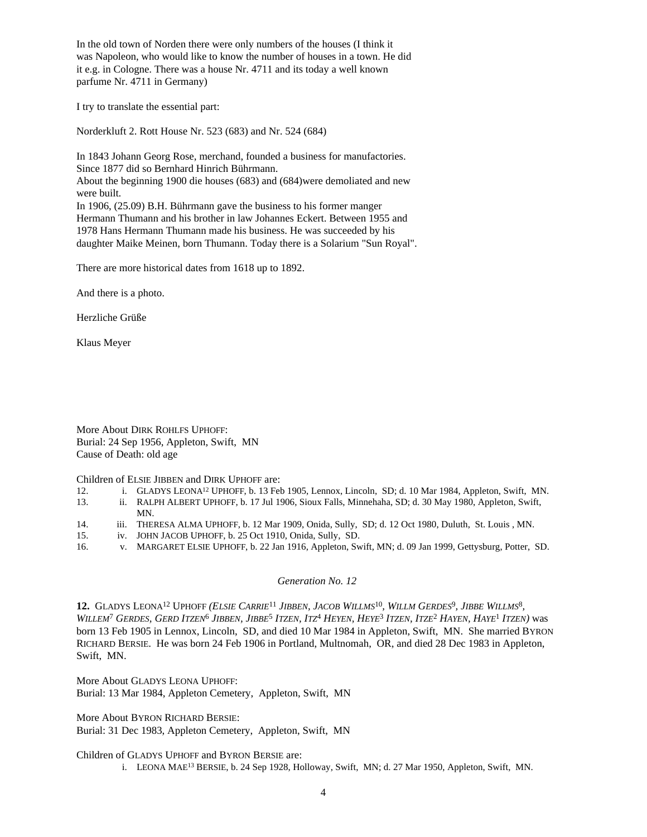In the old town of Norden there were only numbers of the houses (I think it was Napoleon, who would like to know the number of houses in a town. He did it e.g. in Cologne. There was a house Nr. 4711 and its today a well known parfume Nr. 4711 in Germany)

I try to translate the essential part:

Norderkluft 2. Rott House Nr. 523 (683) and Nr. 524 (684)

In 1843 Johann Georg Rose, merchand, founded a business for manufactories. Since 1877 did so Bernhard Hinrich Bührmann. About the beginning 1900 die houses (683) and (684)were demoliated and new were built. In 1906, (25.09) B.H. Bührmann gave the business to his former manger

Hermann Thumann and his brother in law Johannes Eckert. Between 1955 and 1978 Hans Hermann Thumann made his business. He was succeeded by his daughter Maike Meinen, born Thumann. Today there is a Solarium "Sun Royal".

There are more historical dates from 1618 up to 1892.

And there is a photo.

Herzliche Grüße

Klaus Meyer

More About DIRK ROHLFS UPHOFF: Burial: 24 Sep 1956, Appleton, Swift, MN Cause of Death: old age

Children of ELSIE JIBBEN and DIRK UPHOFF are:

- 12. i. GLADYS LEONA<sup>12</sup> UPHOFF, b. 13 Feb 1905, Lennox, Lincoln, SD; d. 10 Mar 1984, Appleton, Swift, MN.
- 13. ii. RALPH ALBERT UPHOFF, b. 17 Jul 1906, Sioux Falls, Minnehaha, SD; d. 30 May 1980, Appleton, Swift, MN.
- 14. iii. THERESA ALMA UPHOFF, b. 12 Mar 1909, Onida, Sully, SD; d. 12 Oct 1980, Duluth, St. Louis , MN.
- 15. iv. JOHN JACOB UPHOFF, b. 25 Oct 1910, Onida, Sully, SD.
- 16. v. MARGARET ELSIE UPHOFF, b. 22 Jan 1916, Appleton, Swift, MN; d. 09 Jan 1999, Gettysburg, Potter, SD.

# *Generation No. 12*

12. GLADYS LEONA<sup>12</sup> UPHOFF (ELSIE CARRIE<sup>11</sup> JIBBEN, JACOB WILLMS<sup>10</sup>, WILLM GERDES<sup>9</sup>, JIBBE WILLMS<sup>8</sup>, WILLEM<sup>7</sup> GERDES, GERD ITZEN<sup>6</sup> JIBBEN, JIBBE<sup>5</sup> ITZEN, ITZ<sup>4</sup> HEYEN, HEYE<sup>3</sup> ITZEN, ITZE<sup>2</sup> HAYEN, HAYE<sup>1</sup> ITZEN) was born 13 Feb 1905 in Lennox, Lincoln, SD, and died 10 Mar 1984 in Appleton, Swift, MN. She married BYRON RICHARD BERSIE. He was born 24 Feb 1906 in Portland, Multnomah, OR, and died 28 Dec 1983 in Appleton, Swift, MN.

More About GLADYS LEONA UPHOFF: Burial: 13 Mar 1984, Appleton Cemetery, Appleton, Swift, MN

More About BYRON RICHARD BERSIE: Burial: 31 Dec 1983, Appleton Cemetery, Appleton, Swift, MN

Children of GLADYS UPHOFF and BYRON BERSIE are:

i. LEONA MAE<sup>13</sup> BERSIE, b. 24 Sep 1928, Holloway, Swift, MN; d. 27 Mar 1950, Appleton, Swift, MN.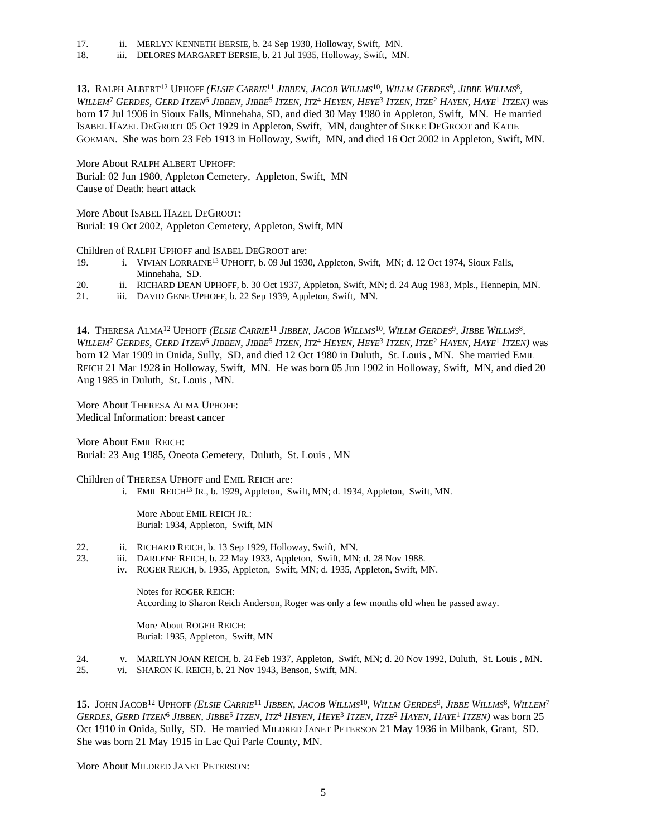- 17. ii. MERLYN KENNETH BERSIE, b. 24 Sep 1930, Holloway, Swift, MN.
- 18. iii. DELORES MARGARET BERSIE, b. 21 Jul 1935, Holloway, Swift, MN.

13. RALPH ALBERT<sup>12</sup> UPHOFF (ELSIE CARRIE<sup>11</sup> JIBBEN, JACOB WILLMS<sup>10</sup>, WILLM GERDES<sup>9</sup>, JIBBE WILLMS<sup>8</sup>, WILLEM<sup>7</sup> GERDES, GERD ITZEN<sup>6</sup> Jibben, Jibbe<sup>5</sup> Itzen, Itz<sup>4</sup> Heyen, Heye<sup>3</sup> Itzen, Itze<sup>2</sup> Hayen, Haye<sup>1</sup> Itzen) was born 17 Jul 1906 in Sioux Falls, Minnehaha, SD, and died 30 May 1980 in Appleton, Swift, MN. He married ISABEL HAZEL DEGROOT 05 Oct 1929 in Appleton, Swift, MN, daughter of SIKKE DEGROOT and KATIE GOEMAN. She was born 23 Feb 1913 in Holloway, Swift, MN, and died 16 Oct 2002 in Appleton, Swift, MN.

More About RALPH ALBERT UPHOFF: Burial: 02 Jun 1980, Appleton Cemetery, Appleton, Swift, MN Cause of Death: heart attack

More About ISABEL HAZEL DEGROOT: Burial: 19 Oct 2002, Appleton Cemetery, Appleton, Swift, MN

Children of RALPH UPHOFF and ISABEL DEGROOT are:

- 19. i. VIVIAN LORRAINE<sup>13</sup> UPHOFF, b. 09 Jul 1930, Appleton, Swift, MN; d. 12 Oct 1974, Sioux Falls, Minnehaha, SD.
- 20. ii. RICHARD DEAN UPHOFF, b. 30 Oct 1937, Appleton, Swift, MN; d. 24 Aug 1983, Mpls., Hennepin, MN.
- 21. iii. DAVID GENE UPHOFF, b. 22 Sep 1939, Appleton, Swift, MN.

14. THERESA ALMA<sup>12</sup> UPHOFF (ELSIE CARRIE<sup>11</sup> JIBBEN, JACOB WILLMS<sup>10</sup>, WILLM GERDES<sup>9</sup>, JIBBE WILLMS<sup>8</sup>, WILLEM<sup>7</sup> GERDES, GERD ITZEN<sup>6</sup> Jibben, Jibbe<sup>5</sup> Itzen, Itz<sup>4</sup> Heyen, Heye<sup>3</sup> Itzen, Itze<sup>2</sup> Hayen, Haye<sup>1</sup> Itzen) was born 12 Mar 1909 in Onida, Sully, SD, and died 12 Oct 1980 in Duluth, St. Louis , MN. She married EMIL REICH 21 Mar 1928 in Holloway, Swift, MN. He was born 05 Jun 1902 in Holloway, Swift, MN, and died 20 Aug 1985 in Duluth, St. Louis , MN.

More About THERESA ALMA UPHOFF: Medical Information: breast cancer

More About EMIL REICH: Burial: 23 Aug 1985, Oneota Cemetery, Duluth, St. Louis , MN

Children of THERESA UPHOFF and EMIL REICH are:

i. EMIL REICH<sup>13</sup> JR., b. 1929, Appleton, Swift, MN; d. 1934, Appleton, Swift, MN.

More About EMIL REICH JR.: Burial: 1934, Appleton, Swift, MN

- 22. ii. RICHARD REICH, b. 13 Sep 1929, Holloway, Swift, MN.
- 23. iii. DARLENE REICH, b. 22 May 1933, Appleton, Swift, MN; d. 28 Nov 1988.
	- iv. ROGER REICH, b. 1935, Appleton, Swift, MN; d. 1935, Appleton, Swift, MN.

Notes for ROGER REICH: According to Sharon Reich Anderson, Roger was only a few months old when he passed away.

More About ROGER REICH: Burial: 1935, Appleton, Swift, MN

- 24. v. MARILYN JOAN REICH, b. 24 Feb 1937, Appleton, Swift, MN; d. 20 Nov 1992, Duluth, St. Louis , MN.
- 25. vi. SHARON K. REICH, b. 21 Nov 1943, Benson, Swift, MN.

15. JOHN JACOB<sup>12</sup> UPHOFF (ELSIE CARRIE<sup>11</sup> JIBBEN, JACOB WILLMS<sup>10</sup>, WILLM GERDES<sup>9</sup>, JIBBE WILLMS<sup>8</sup>, WILLEM<sup>7</sup> GERDES, GERD ITZEN<sup>6</sup> JIBBEN, JIBBE<sup>5</sup> ITZEN, ITZ<sup>4</sup> HEYEN, HEYE<sup>3</sup> ITZEN, ITZE<sup>2</sup> HAYEN, HAYE<sup>1</sup> ITZEN) was born 25 Oct 1910 in Onida, Sully, SD. He married MILDRED JANET PETERSON 21 May 1936 in Milbank, Grant, SD. She was born 21 May 1915 in Lac Qui Parle County, MN.

More About MILDRED JANET PETERSON: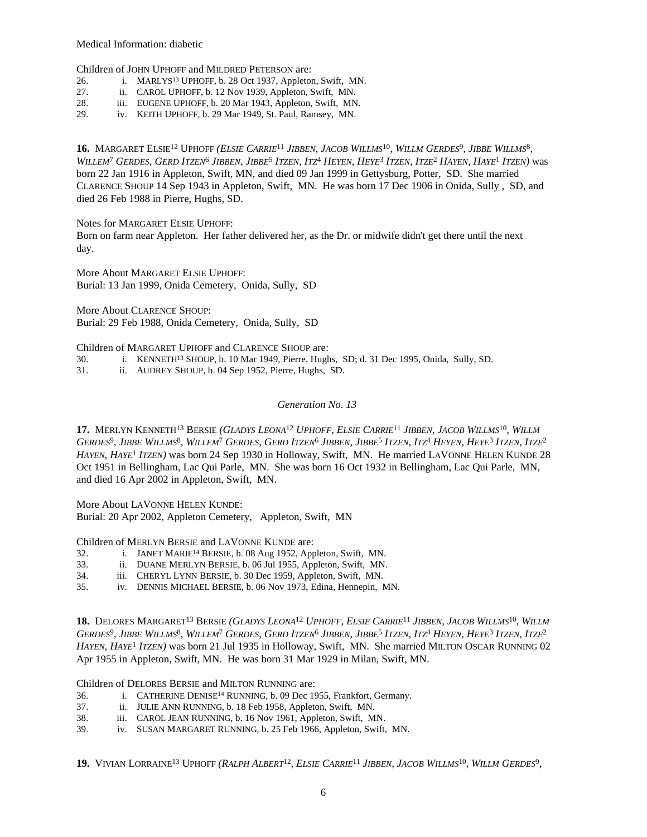Medical Information: diabetic

Children of JOHN UPHOFF and MILDRED PETERSON are:

- 26. i. MARLYS<sup>13</sup> UPHOFF, b. 28 Oct 1937, Appleton, Swift, MN.
- 27. ii. CAROL UPHOFF, b. 12 Nov 1939, Appleton, Swift, MN.
- 28. iii. EUGENE UPHOFF, b. 20 Mar 1943, Appleton, Swift, MN.
- 29. iv. KEITH UPHOFF, b. 29 Mar 1949, St. Paul, Ramsey, MN.

16. MARGARET ELSIE<sup>12</sup> UPHOFF (ELSIE CARRIE<sup>11</sup> JIBBEN, JACOB WILLMS<sup>10</sup>, WILLM GERDES<sup>9</sup>, JIBBE WILLMS<sup>8</sup>, WILLEM<sup>7</sup> GERDES, GERD ITZEN<sup>6</sup> Jibben, Jibbe<sup>5</sup> Itzen, Itz<sup>4</sup> Heyen, Heye<sup>3</sup> Itzen, Itze<sup>2</sup> Hayen, Haye<sup>1</sup> Itzen) was born 22 Jan 1916 in Appleton, Swift, MN, and died 09 Jan 1999 in Gettysburg, Potter, SD. She married CLARENCE SHOUP 14 Sep 1943 in Appleton, Swift, MN. He was born 17 Dec 1906 in Onida, Sully , SD, and died 26 Feb 1988 in Pierre, Hughs, SD.

Notes for MARGARET ELSIE UPHOFF:

Born on farm near Appleton. Her father delivered her, as the Dr. or midwife didn't get there until the next day.

More About MARGARET ELSIE UPHOFF: Burial: 13 Jan 1999, Onida Cemetery, Onida, Sully, SD

More About CLARENCE SHOUP: Burial: 29 Feb 1988, Onida Cemetery, Onida, Sully, SD

Children of MARGARET UPHOFF and CLARENCE SHOUP are:

30. i. KENNETH<sup>13</sup> SHOUP, b. 10 Mar 1949, Pierre, Hughs, SD; d. 31 Dec 1995, Onida, Sully, SD.

31. ii. AUDREY SHOUP, b. 04 Sep 1952, Pierre, Hughs, SD.

#### *Generation No. 13*

17. MERLYN KENNETH<sup>13</sup> BERSIE (GLADYS LEONA<sup>12</sup> UPHOFF, ELSIE CARRIE<sup>11</sup> JIBBEN, JACOB WILLMS<sup>10</sup>, WILLM Gerdes<sup>9</sup>, Jibbe Willms<sup>8</sup>, Willem<sup>7</sup> Gerdes, Gerd Itzen<sup>6</sup> Jibben, Jibbe<sup>5</sup> Itzen, Itz<sup>4</sup> Heyen, Heye<sup>3</sup> Itzen, Itze<sup>2</sup> *HAYEN, HAYE*<sup>1</sup>  *ITZEN)* was born 24 Sep 1930 in Holloway, Swift, MN. He married LAVONNE HELEN KUNDE 28 Oct 1951 in Bellingham, Lac Qui Parle, MN. She was born 16 Oct 1932 in Bellingham, Lac Qui Parle, MN, and died 16 Apr 2002 in Appleton, Swift, MN.

More About LAVONNE HELEN KUNDE: Burial: 20 Apr 2002, Appleton Cemetery, Appleton, Swift, MN

Children of MERLYN BERSIE and LAVONNE KUNDE are:

- 32. i. JANET MARIE<sup>14</sup> BERSIE, b. 08 Aug 1952, Appleton, Swift, MN.
- 33. ii. DUANE MERLYN BERSIE, b. 06 Jul 1955, Appleton, Swift, MN.
- 34. iii. CHERYL LYNN BERSIE, b. 30 Dec 1959, Appleton, Swift, MN.
- 35. iv. DENNIS MICHAEL BERSIE, b. 06 Nov 1973, Edina, Hennepin, MN.

18. DELORES MARGARET<sup>13</sup> BERSIE (GLADYS LEONA<sup>12</sup> UPHOFF, ELSIE CARRIE<sup>11</sup> JIBBEN, JACOB WILLMS<sup>10</sup>, WILLM Gerdes<sup>9</sup>, Jibbe Willms<sup>8</sup>, Willem<sup>7</sup> Gerdes, Gerd Itzen<sup>6</sup> Jibben, Jibbe<sup>5</sup> Itzen, Itz<sup>4</sup> Heyen, Heye<sup>3</sup> Itzen, Itze<sup>2</sup> *HAYEN, HAYE*<sup>1</sup>  *ITZEN)* was born 21 Jul 1935 in Holloway, Swift, MN. She married MILTON OSCAR RUNNING 02 Apr 1955 in Appleton, Swift, MN. He was born 31 Mar 1929 in Milan, Swift, MN.

Children of DELORES BERSIE and MILTON RUNNING are:

- 36. i. CATHERINE DENISE<sup>14</sup> RUNNING, b. 09 Dec 1955, Frankfort, Germany.
- 37. ii. JULIE ANN RUNNING, b. 18 Feb 1958, Appleton, Swift, MN.
- 38. iii. CAROL JEAN RUNNING, b. 16 Nov 1961, Appleton, Swift, MN.
- 39. iv. SUSAN MARGARET RUNNING, b. 25 Feb 1966, Appleton, Swift, MN.

19. VIVIAN LORRAINE<sup>13</sup> UPHOFF (RALPH ALBERT<sup>12</sup>, ELSIE CARRIE<sup>11</sup> JIBBEN, JACOB WILLMS<sup>10</sup>, WILLM GERDES<sup>9</sup>,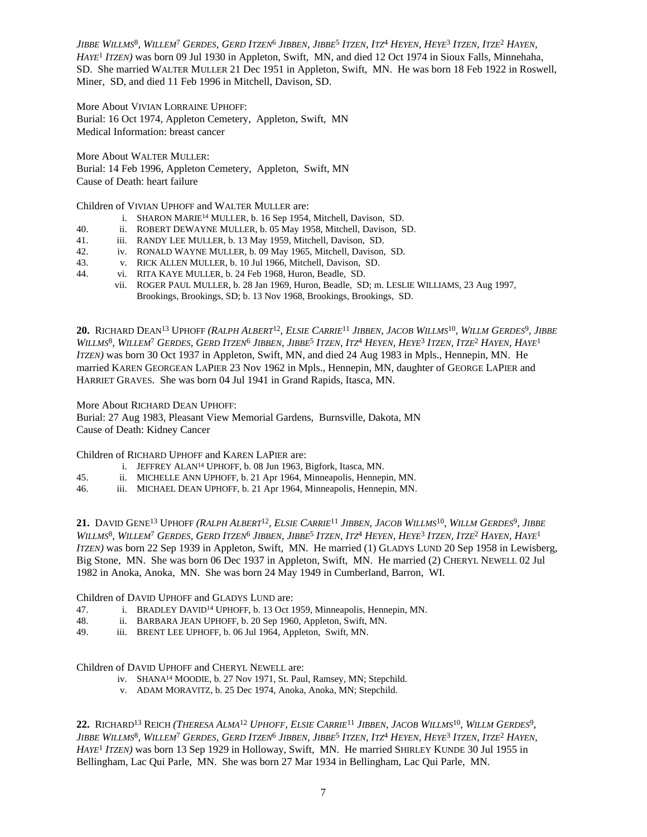Jibbe Willms<sup>8</sup>, Willem<sup>7</sup> Gerdes, Gerd Itzen<sup>6</sup> Jibben, Jibbe<sup>5</sup> Itzen, Itz<sup>4</sup> Heyen, Heye<sup>3</sup> Itzen, Itze<sup>2</sup> Hayen, *HAYE*<sup>1</sup>  *ITZEN)* was born 09 Jul 1930 in Appleton, Swift, MN, and died 12 Oct 1974 in Sioux Falls, Minnehaha, SD. She married WALTER MULLER 21 Dec 1951 in Appleton, Swift, MN. He was born 18 Feb 1922 in Roswell, Miner, SD, and died 11 Feb 1996 in Mitchell, Davison, SD.

More About VIVIAN LORRAINE UPHOFF: Burial: 16 Oct 1974, Appleton Cemetery, Appleton, Swift, MN Medical Information: breast cancer

More About WALTER MULLER: Burial: 14 Feb 1996, Appleton Cemetery, Appleton, Swift, MN Cause of Death: heart failure

Children of VIVIAN UPHOFF and WALTER MULLER are:

- i. SHARON MARIE<sup>14</sup> MULLER, b. 16 Sep 1954, Mitchell, Davison, SD.
- 40. ii. ROBERT DEWAYNE MULLER, b. 05 May 1958, Mitchell, Davison, SD.
- 41. iii. RANDY LEE MULLER, b. 13 May 1959, Mitchell, Davison, SD.
- 42. iv. RONALD WAYNE MULLER, b. 09 May 1965, Mitchell, Davison, SD.
- 43. v. RICK ALLEN MULLER, b. 10 Jul 1966, Mitchell, Davison, SD.
- 44. vi. RITA KAYE MULLER, b. 24 Feb 1968, Huron, Beadle, SD.
	- vii. ROGER PAUL MULLER, b. 28 Jan 1969, Huron, Beadle, SD; m. LESLIE WILLIAMS, 23 Aug 1997, Brookings, Brookings, SD; b. 13 Nov 1968, Brookings, Brookings, SD.

**20.** Richard Dean<sup>13</sup> Uphoff (Ralph Albert<sup>12</sup>, Elsie Carrie<sup>11</sup> Jibben, Jacob Willms<sup>10</sup>, Willm Gerdes<sup>9</sup>, Jibbe WILLMS<sup>8</sup>, WILLEM<sup>7</sup> Gerdes, Gerd Itzen<sup>6</sup> Jibben, Jibbe<sup>5</sup> Itzen, Itz<sup>4</sup> Heyen, Heye<sup>3</sup> Itzen, Itze<sup>2</sup> Hayen, Haye<sup>1</sup> *ITZEN)* was born 30 Oct 1937 in Appleton, Swift, MN, and died 24 Aug 1983 in Mpls., Hennepin, MN. He married KAREN GEORGEAN LAPIER 23 Nov 1962 in Mpls., Hennepin, MN, daughter of GEORGE LAPIER and HARRIET GRAVES. She was born 04 Jul 1941 in Grand Rapids, Itasca, MN.

More About RICHARD DEAN UPHOFF:

Burial: 27 Aug 1983, Pleasant View Memorial Gardens, Burnsville, Dakota, MN Cause of Death: Kidney Cancer

Children of RICHARD UPHOFF and KAREN LAPIER are:

- i. JEFFREY ALAN<sup>14</sup> UPHOFF, b. 08 Jun 1963, Bigfork, Itasca, MN.
- 45. ii. MICHELLE ANN UPHOFF, b. 21 Apr 1964, Minneapolis, Hennepin, MN.
- 46. iii. MICHAEL DEAN UPHOFF, b. 21 Apr 1964, Minneapolis, Hennepin, MN.

**21.** David Gene<sup>13</sup> Uphoff (Ralph Albert<sup>12</sup>, Elsie Carrie<sup>11</sup> Jibben, Jacob Willms<sup>10</sup>, Willm Gerdes<sup>9</sup>, Jibbe WILLMS<sup>8</sup>, WILLEM<sup>7</sup> Gerdes, Gerd Itzen<sup>6</sup> Jibben, Jibbe<sup>5</sup> Itzen, Itz<sup>4</sup> Heyen, Heye<sup>3</sup> Itzen, Itze<sup>2</sup> Hayen, Haye<sup>1</sup> *ITZEN)* was born 22 Sep 1939 in Appleton, Swift, MN. He married (1) GLADYS LUND 20 Sep 1958 in Lewisberg, Big Stone, MN. She was born 06 Dec 1937 in Appleton, Swift, MN. He married (2) CHERYL NEWELL 02 Jul 1982 in Anoka, Anoka, MN. She was born 24 May 1949 in Cumberland, Barron, WI.

Children of DAVID UPHOFF and GLADYS LUND are:<br>47. i. BRADLEY DAVID<sup>14</sup> UPHOFF, b. 13 Oct 1

- i. BRADLEY DAVID<sup>14</sup> UPHOFF, b. 13 Oct 1959, Minneapolis, Hennepin, MN.
- 48. ii. BARBARA JEAN UPHOFF, b. 20 Sep 1960, Appleton, Swift, MN.

49. iii. BRENT LEE UPHOFF, b. 06 Jul 1964, Appleton, Swift, MN.

Children of DAVID UPHOFF and CHERYL NEWELL are:

- iv. SHANA<sup>14</sup> MOODIE, b. 27 Nov 1971, St. Paul, Ramsey, MN; Stepchild.
- v. ADAM MORAVITZ, b. 25 Dec 1974, Anoka, Anoka, MN; Stepchild.

22. Richard<sup>13</sup> Reich (*Theresa Alma<sup>12</sup> Uphoff, Elsie Carrie<sup>11</sup> Jibben, Jacob Willms<sup>10</sup>, Willm Gerdes<sup>9</sup>,* Jibbe Willms<sup>8</sup>, Willem<sup>7</sup> Gerdes, Gerd Itzen<sup>6</sup> Jibben, Jibbe<sup>5</sup> Itzen, Itz<sup>4</sup> Heyen, Heye<sup>3</sup> Itzen, Itze<sup>2</sup> Hayen, *HAYE*<sup>1</sup>  *ITZEN)* was born 13 Sep 1929 in Holloway, Swift, MN. He married SHIRLEY KUNDE 30 Jul 1955 in Bellingham, Lac Qui Parle, MN. She was born 27 Mar 1934 in Bellingham, Lac Qui Parle, MN.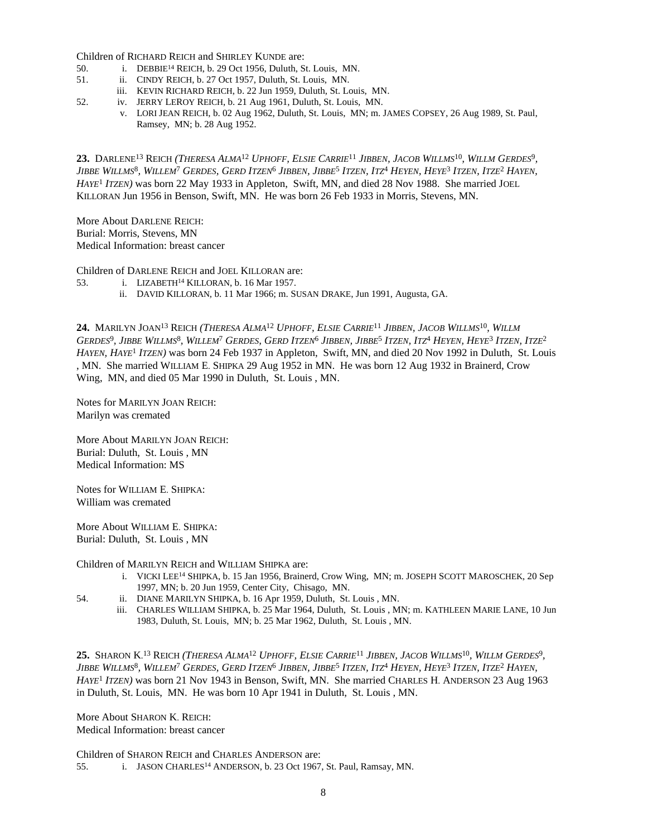Children of RICHARD REICH and SHIRLEY KUNDE are:

- 50. i. DEBBIE<sup>14</sup> REICH, b. 29 Oct 1956, Duluth, St. Louis, MN.
- 51. ii. CINDY REICH, b. 27 Oct 1957, Duluth, St. Louis, MN.
	- iii. KEVIN RICHARD REICH, b. 22 Jun 1959, Duluth, St. Louis, MN.
- 52. iv. JERRY LEROY REICH, b. 21 Aug 1961, Duluth, St. Louis, MN.
	- v. LORI JEAN REICH, b. 02 Aug 1962, Duluth, St. Louis, MN; m. JAMES COPSEY, 26 Aug 1989, St. Paul, Ramsey, MN; b. 28 Aug 1952.

23. DARLENE<sup>13</sup> REICH (*Theresa Alma<sup>12</sup> Uphoff, Elsie Carrie<sup>11</sup> Jibben, Jacob Willms<sup>10</sup>, Willm Gerdes<sup>9</sup>,* Jibbe Willms<sup>8</sup>, Willem<sup>7</sup> Gerdes, Gerd Itzen<sup>6</sup> Jibben, Jibbe<sup>5</sup> Itzen, Itz<sup>4</sup> Heyen, Heye<sup>3</sup> Itzen, Itze<sup>2</sup> Hayen, *HAYE*<sup>1</sup>  *ITZEN)* was born 22 May 1933 in Appleton, Swift, MN, and died 28 Nov 1988. She married JOEL KILLORAN Jun 1956 in Benson, Swift, MN. He was born 26 Feb 1933 in Morris, Stevens, MN.

More About DARLENE REICH: Burial: Morris, Stevens, MN Medical Information: breast cancer

Children of DARLENE REICH and JOEL KILLORAN are:

- 53. i. LIZABETH<sup>14</sup> KILLORAN, b. 16 Mar 1957.
	- ii. DAVID KILLORAN, b. 11 Mar 1966; m. SUSAN DRAKE, Jun 1991, Augusta, GA.

24. MARILYN JOAN<sup>13</sup> REICH (THERESA ALMA<sup>12</sup> UPHOFF, ELSIE CARRIE<sup>11</sup> JIBBEN, JACOB WILLMS<sup>10</sup>, WILLM Gerdes<sup>9</sup>, Jibbe Willms<sup>8</sup>, Willem<sup>7</sup> Gerdes, Gerd Itzen<sup>6</sup> Jibben, Jibbe<sup>5</sup> Itzen, Itz<sup>4</sup> Heyen, Heye<sup>3</sup> Itzen, Itze<sup>2</sup> *HAYEN, HAYE*<sup>1</sup>  *ITZEN)* was born 24 Feb 1937 in Appleton, Swift, MN, and died 20 Nov 1992 in Duluth, St. Louis , MN. She married WILLIAM E. SHIPKA 29 Aug 1952 in MN. He was born 12 Aug 1932 in Brainerd, Crow Wing, MN, and died 05 Mar 1990 in Duluth, St. Louis , MN.

Notes for MARILYN JOAN REICH: Marilyn was cremated

More About MARILYN JOAN REICH: Burial: Duluth, St. Louis , MN Medical Information: MS

Notes for WILLIAM E. SHIPKA: William was cremated

More About WILLIAM E. SHIPKA: Burial: Duluth, St. Louis , MN

Children of MARILYN REICH and WILLIAM SHIPKA are:

- i. VICKI LEE<sup>14</sup> SHIPKA, b. 15 Jan 1956, Brainerd, Crow Wing, MN; m. JOSEPH SCOTT MAROSCHEK, 20 Sep 1997, MN; b. 20 Jun 1959, Center City, Chisago, MN.
- 54. ii. DIANE MARILYN SHIPKA, b. 16 Apr 1959, Duluth, St. Louis , MN.
	- iii. CHARLES WILLIAM SHIPKA, b. 25 Mar 1964, Duluth, St. Louis , MN; m. KATHLEEN MARIE LANE, 10 Jun 1983, Duluth, St. Louis, MN; b. 25 Mar 1962, Duluth, St. Louis , MN.

25. Sharon K.<sup>13</sup> Reich (*Theresa Alma<sup>12</sup> Uphoff, Elsie Carrie<sup>11</sup> Jibben, Jacob Willms<sup>10</sup>, Willm Gerdes<sup>9</sup>,* Jibbe Willms<sup>8</sup>, Willem<sup>7</sup> Gerdes, Gerd Itzen<sup>6</sup> Jibben, Jibbe<sup>5</sup> Itzen, Itz<sup>4</sup> Heyen, Heye<sup>3</sup> Itzen, Itze<sup>2</sup> Hayen, *HAYE*<sup>1</sup>  *ITZEN)* was born 21 Nov 1943 in Benson, Swift, MN. She married CHARLES H. ANDERSON 23 Aug 1963 in Duluth, St. Louis, MN. He was born 10 Apr 1941 in Duluth, St. Louis , MN.

More About SHARON K. REICH: Medical Information: breast cancer

Children of SHARON REICH and CHARLES ANDERSON are: 55. i. JASON CHARLES<sup>14</sup> ANDERSON, b. 23 Oct 1967, St. Paul, Ramsay, MN.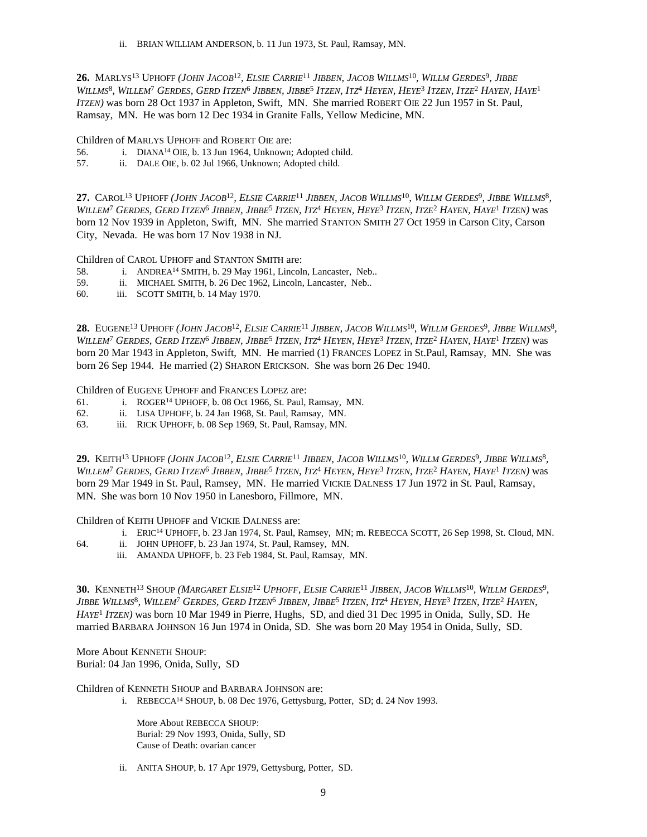ii. BRIAN WILLIAM ANDERSON, b. 11 Jun 1973, St. Paul, Ramsay, MN.

**26.** Marlys<sup>13</sup> Uphoff (John Jacob<sup>12</sup>, Elsie Carrie<sup>11</sup> Jibben, Jacob Willms<sup>10</sup>, Willm Gerdes<sup>9</sup>, Jibbe WILLMS<sup>8</sup>, WILLEM<sup>7</sup> Gerdes, Gerd Itzen<sup>6</sup> Jibben, Jibbe<sup>5</sup> Itzen, Itz<sup>4</sup> Heyen, Heye<sup>3</sup> Itzen, Itze<sup>2</sup> Hayen, Haye<sup>1</sup> *ITZEN)* was born 28 Oct 1937 in Appleton, Swift, MN. She married ROBERT OIE 22 Jun 1957 in St. Paul, Ramsay, MN. He was born 12 Dec 1934 in Granite Falls, Yellow Medicine, MN.

Children of MARLYS UPHOFF and ROBERT OIE are:

- 56. i. DIANA<sup>14</sup> OIE, b. 13 Jun 1964, Unknown; Adopted child.
- 57. ii. DALE OIE, b. 02 Jul 1966, Unknown; Adopted child.

27. Carol<sup>13</sup> Uphoff (John Jacob<sup>12</sup>, Elsie Carrie<sup>11</sup> Jibben, Jacob Willms<sup>10</sup>, Willm Gerdes<sup>9</sup>, Jibbe Willms<sup>8</sup>, WILLEM<sup>7</sup> GERDES, GERD ITZEN<sup>6</sup> JIBBEN, JIBBE<sup>5</sup> ITZEN, ITZ<sup>4</sup> HEYEN, HEYE<sup>3</sup> ITZEN, ITZE<sup>2</sup> HAYEN, HAYE<sup>1</sup> ITZEN) was born 12 Nov 1939 in Appleton, Swift, MN. She married STANTON SMITH 27 Oct 1959 in Carson City, Carson City, Nevada. He was born 17 Nov 1938 in NJ.

Children of CAROL UPHOFF and STANTON SMITH are:

- 58. i. ANDREA<sup>14</sup> SMITH, b. 29 May 1961, Lincoln, Lancaster, Neb..
- 59. ii. MICHAEL SMITH, b. 26 Dec 1962, Lincoln, Lancaster, Neb..
- 60. iii. SCOTT SMITH, b. 14 May 1970.

**28.** Eugene<sup>13</sup> Uphoff (John Jacob<sup>12</sup>, Elsie Carrie<sup>11</sup> Jibben, Jacob Willms<sup>10</sup>, Willm Gerdes<sup>9</sup>, Jibbe Willms<sup>8</sup>, WILLEM<sup>7</sup> GERDES, GERD ITZEN<sup>6</sup> Jibben, Jibbe<sup>5</sup> Itzen, Itz<sup>4</sup> Heyen, Heye<sup>3</sup> Itzen, Itze<sup>2</sup> Hayen, Haye<sup>1</sup> Itzen) was born 20 Mar 1943 in Appleton, Swift, MN. He married (1) FRANCES LOPEZ in St.Paul, Ramsay, MN. She was born 26 Sep 1944. He married (2) SHARON ERICKSON. She was born 26 Dec 1940.

Children of EUGENE UPHOFF and FRANCES LOPEZ are:

- 61. i. ROGER<sup>14</sup> UPHOFF, b. 08 Oct 1966, St. Paul, Ramsay, MN.
- 62. ii. LISA UPHOFF, b. 24 Jan 1968, St. Paul, Ramsay, MN.
- 63. iii. RICK UPHOFF, b. 08 Sep 1969, St. Paul, Ramsay, MN.

29. KEITH<sup>13</sup> UPHOFF (JOHN JACOB<sup>12</sup>, ELSIE CARRIE<sup>11</sup> JIBBEN, JACOB WILLMS<sup>10</sup>, WILLM GERDES<sup>9</sup>, JIBBE WILLMS<sup>8</sup>, WILLEM<sup>7</sup> GERDES, GERD ITZEN<sup>6</sup> Jibben, Jibbe<sup>5</sup> Itzen, Itz<sup>4</sup> Heyen, Heye<sup>3</sup> Itzen, Itze<sup>2</sup> Hayen, Haye<sup>1</sup> Itzen) was born 29 Mar 1949 in St. Paul, Ramsey, MN. He married VICKIE DALNESS 17 Jun 1972 in St. Paul, Ramsay, MN. She was born 10 Nov 1950 in Lanesboro, Fillmore, MN.

Children of KEITH UPHOFF and VICKIE DALNESS are:

- i. ERIC<sup>14</sup> UPHOFF, b. 23 Jan 1974, St. Paul, Ramsey, MN; m. REBECCA SCOTT, 26 Sep 1998, St. Cloud, MN.
- 64. ii. JOHN UPHOFF, b. 23 Jan 1974, St. Paul, Ramsey, MN.
	- iii. AMANDA UPHOFF, b. 23 Feb 1984, St. Paul, Ramsay, MN.

**30.** KENNETH<sup>13</sup> SHOUP (MARGARET ELSIE<sup>12</sup> UPHOFF, ELSIE CARRIE<sup>11</sup> JIBBEN, JACOB WILLMS<sup>10</sup>, WILLM GERDES<sup>9</sup>, Jibbe Willms<sup>8</sup>, Willem<sup>7</sup> Gerdes, Gerd Itzen<sup>6</sup> Jibben, Jibbe<sup>5</sup> Itzen, Itz<sup>4</sup> Heyen, Heye<sup>3</sup> Itzen, Itze<sup>2</sup> Hayen, *HAYE*<sup>1</sup>  *ITZEN)* was born 10 Mar 1949 in Pierre, Hughs, SD, and died 31 Dec 1995 in Onida, Sully, SD. He married BARBARA JOHNSON 16 Jun 1974 in Onida, SD. She was born 20 May 1954 in Onida, Sully, SD.

More About KENNETH SHOUP: Burial: 04 Jan 1996, Onida, Sully, SD

Children of KENNETH SHOUP and BARBARA JOHNSON are:

i. REBECCA<sup>14</sup> SHOUP, b. 08 Dec 1976, Gettysburg, Potter, SD; d. 24 Nov 1993.

More About REBECCA SHOUP: Burial: 29 Nov 1993, Onida, Sully, SD Cause of Death: ovarian cancer

ii. ANITA SHOUP, b. 17 Apr 1979, Gettysburg, Potter, SD.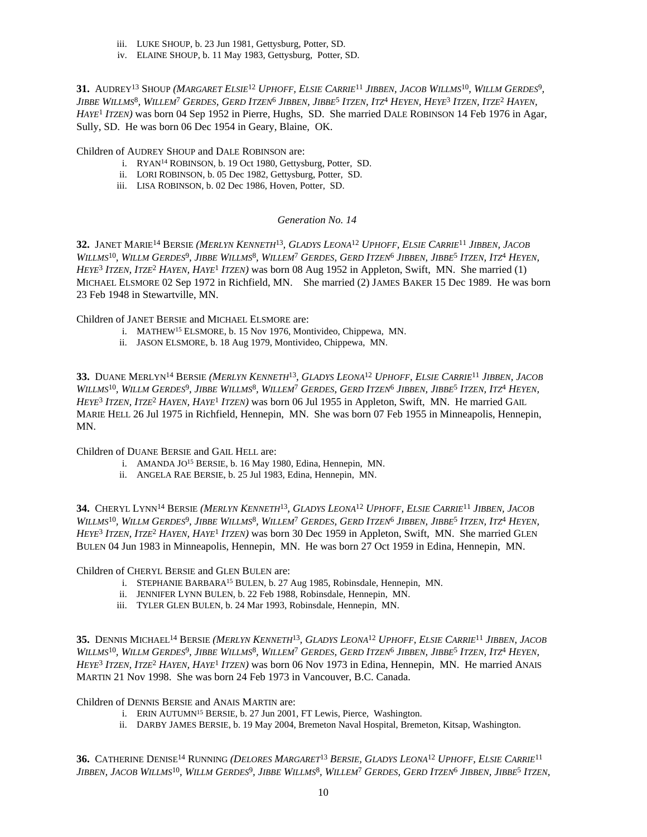- iii. LUKE SHOUP, b. 23 Jun 1981, Gettysburg, Potter, SD.
- iv. ELAINE SHOUP, b. 11 May 1983, Gettysburg, Potter, SD.

31. AUDREY<sup>13</sup> Shoup (*Margaret Elsie<sup>12</sup> Uphoff, Elsie Carrie<sup>11</sup> Jibben, Jacob Willms<sup>10</sup>, Willm Gerdes<sup>9</sup>,* Jibbe Willms<sup>8</sup>, Willem<sup>7</sup> Gerdes, Gerd Itzen<sup>6</sup> Jibben, Jibbe<sup>5</sup> Itzen, Itz<sup>4</sup> Heyen, Heye<sup>3</sup> Itzen, Itze<sup>2</sup> Hayen, *HAYE*<sup>1</sup>  *ITZEN)* was born 04 Sep 1952 in Pierre, Hughs, SD. She married DALE ROBINSON 14 Feb 1976 in Agar, Sully, SD. He was born 06 Dec 1954 in Geary, Blaine, OK.

Children of AUDREY SHOUP and DALE ROBINSON are:

- i. RYAN<sup>14</sup> ROBINSON, b. 19 Oct 1980, Gettysburg, Potter, SD.
- ii. LORI ROBINSON, b. 05 Dec 1982, Gettysburg, Potter, SD.
- iii. LISA ROBINSON, b. 02 Dec 1986, Hoven, Potter, SD.

# *Generation No. 14*

32. JANET MARIE<sup>14</sup> BERSIE (MERLYN KENNETH<sup>13</sup>, GLADYS LEONA<sup>12</sup> UPHOFF, ELSIE CARRIE<sup>11</sup> JIBBEN, JACOB WILLMS<sup>10</sup>, WILLM GERDES<sup>9</sup>, JIBBE WILLMS<sup>8</sup>, WILLEM<sup>7</sup> GERDES, GERD ITZEN<sup>6</sup> JIBBEN, JIBBE<sup>5</sup> ITZEN, ITZ<sup>4</sup> HEYEN, *HEYE*<sup>3</sup>  *ITZEN, ITZE*<sup>2</sup>  *HAYEN, HAYE*<sup>1</sup>  *ITZEN)* was born 08 Aug 1952 in Appleton, Swift, MN. She married (1) MICHAEL ELSMORE 02 Sep 1972 in Richfield, MN. She married (2) JAMES BAKER 15 Dec 1989. He was born 23 Feb 1948 in Stewartville, MN.

Children of JANET BERSIE and MICHAEL ELSMORE are:

- i. MATHEW<sup>15</sup> ELSMORE, b. 15 Nov 1976, Montivideo, Chippewa, MN.
- ii. JASON ELSMORE, b. 18 Aug 1979, Montivideo, Chippewa, MN.

33. DUANE MERLYN<sup>14</sup> BERSIE (MERLYN KENNETH<sup>13</sup>, GLADYS LEONA<sup>12</sup> UPHOFF, ELSIE CARRIE<sup>11</sup> JIBBEN, JACOB WILLMS<sup>10</sup>, WILLM GERDES<sup>9</sup>, JIBBE WILLMS<sup>8</sup>, WILLEM<sup>7</sup> GERDES, GERD ITZEN<sup>6</sup> JIBBEN, JIBBE<sup>5</sup> ITZEN, ITZ<sup>4</sup> HEYEN, *HEYE*<sup>3</sup>  *ITZEN, ITZE*<sup>2</sup>  *HAYEN, HAYE*<sup>1</sup>  *ITZEN)* was born 06 Jul 1955 in Appleton, Swift, MN. He married GAIL MARIE HELL 26 Jul 1975 in Richfield, Hennepin, MN. She was born 07 Feb 1955 in Minneapolis, Hennepin, MN.

Children of DUANE BERSIE and GAIL HELL are:

- i. AMANDA JO<sup>15</sup> BERSIE, b. 16 May 1980, Edina, Hennepin, MN.
- ii. ANGELA RAE BERSIE, b. 25 Jul 1983, Edina, Hennepin, MN.

34. CHERYL LYNN<sup>14</sup> BERSIE (MERLYN KENNETH<sup>13</sup>, GLADYS LEONA<sup>12</sup> UPHOFF, ELSIE CARRIE<sup>11</sup> JIBBEN, JACOB WILLMS<sup>10</sup>, WILLM GERDES<sup>9</sup>, JIBBE WILLMS<sup>8</sup>, WILLEM<sup>7</sup> GERDES, GERD ITZEN<sup>6</sup> JIBBEN, JIBBE<sup>5</sup> ITZEN, ITZ<sup>4</sup> HEYEN, *HEYE*<sup>3</sup>  *ITZEN, ITZE*<sup>2</sup>  *HAYEN, HAYE*<sup>1</sup>  *ITZEN)* was born 30 Dec 1959 in Appleton, Swift, MN. She married GLEN BULEN 04 Jun 1983 in Minneapolis, Hennepin, MN. He was born 27 Oct 1959 in Edina, Hennepin, MN.

Children of CHERYL BERSIE and GLEN BULEN are:

- i. STEPHANIE BARBARA<sup>15</sup> BULEN, b. 27 Aug 1985, Robinsdale, Hennepin, MN.
- ii. JENNIFER LYNN BULEN, b. 22 Feb 1988, Robinsdale, Hennepin, MN.
- iii. TYLER GLEN BULEN, b. 24 Mar 1993, Robinsdale, Hennepin, MN.

35. DENNIS MICHAEL<sup>14</sup> BERSIE (MERLYN KENNETH<sup>13</sup>, GLADYS LEONA<sup>12</sup> UPHOFF, ELSIE CARRIE<sup>11</sup> JIBBEN, JACOB WILLMS<sup>10</sup>, WILLM GERDES<sup>9</sup>, JIBBE WILLMS<sup>8</sup>, WILLEM<sup>7</sup> GERDES, GERD ITZEN<sup>6</sup> JIBBEN, JIBBE<sup>5</sup> ITZEN, ITZ<sup>4</sup> HEYEN, *HEYE*<sup>3</sup>  *ITZEN, ITZE*<sup>2</sup>  *HAYEN, HAYE*<sup>1</sup>  *ITZEN)* was born 06 Nov 1973 in Edina, Hennepin, MN. He married ANAIS MARTIN 21 Nov 1998. She was born 24 Feb 1973 in Vancouver, B.C. Canada.

Children of DENNIS BERSIE and ANAIS MARTIN are:

- i. ERIN AUTUMN<sup>15</sup> BERSIE, b. 27 Jun 2001, FT Lewis, Pierce, Washington.
- ii. DARBY JAMES BERSIE, b. 19 May 2004, Bremeton Naval Hospital, Bremeton, Kitsap, Washington.

**36.** CATHERINE DENISE<sup>14</sup> RUNNING *(DELORES MARGARET*<sup>13</sup> *BERSIE, GLADYS LEONA*<sup>12</sup> *UPHOFF, ELSIE CARRIE*<sup>11</sup> Jibben, Jacob Willms<sup>10</sup>, Willm Gerdes<sup>9</sup>, Jibbe Willms<sup>8</sup>, Willem<sup>7</sup> Gerdes, Gerd Itzen<sup>6</sup> Jibben, Jibbe<sup>s</sup> Itzen,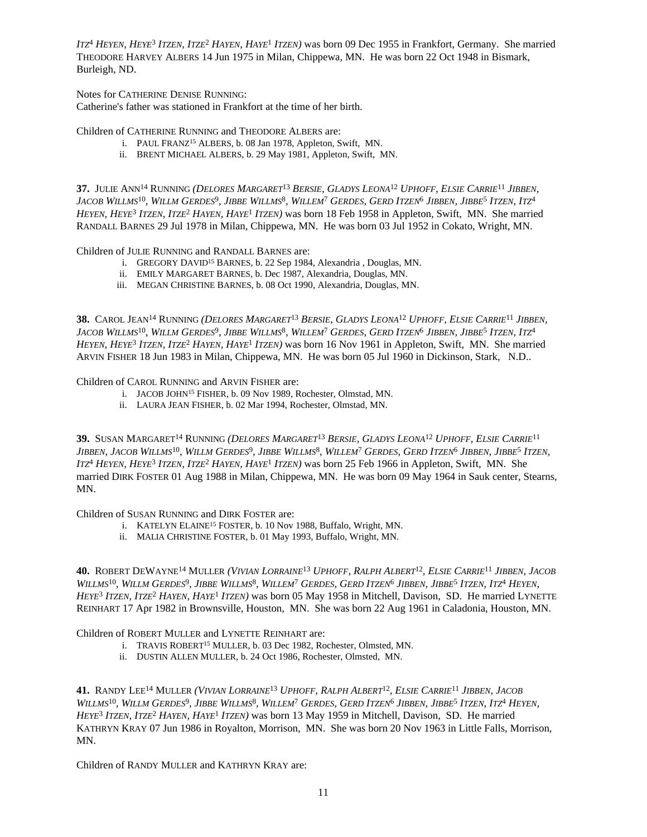ITZ<sup>4</sup> HEYEN, HEYE<sup>3</sup> ITZEN, ITZE<sup>2</sup> HAYEN, HAYE<sup>1</sup> ITZEN) was born 09 Dec 1955 in Frankfort, Germany. She married THEODORE HARVEY ALBERS 14 Jun 1975 in Milan, Chippewa, MN. He was born 22 Oct 1948 in Bismark, Burleigh, ND.

Notes for CATHERINE DENISE RUNNING:

Catherine's father was stationed in Frankfort at the time of her birth.

Children of CATHERINE RUNNING and THEODORE ALBERS are:

- i. PAUL FRANZ<sup>15</sup> ALBERS, b. 08 Jan 1978, Appleton, Swift, MN.
- ii. BRENT MICHAEL ALBERS, b. 29 May 1981, Appleton, Swift, MN.

37. JULIE ANN<sup>14</sup> RUNNING (DELORES MARGARET<sup>13</sup> BERSIE, GLADYS LEONA<sup>12</sup> UPHOFF, ELSIE CARRIE<sup>11</sup> JIBBEN, Jacob Willms<sup>10</sup>, Willm Gerdes<sup>9</sup>, Jibbe Willms<sup>8</sup>, Willem<sup>7</sup> Gerdes, Gerd Itzen<sup>6</sup> Jibben, Jibbe<sup>5</sup> Itzen, Itz<sup>4</sup> *HEYEN, HEYE*<sup>3</sup>  *ITZEN, ITZE*<sup>2</sup>  *HAYEN, HAYE*<sup>1</sup>  *ITZEN)* was born 18 Feb 1958 in Appleton, Swift, MN. She married RANDALL BARNES 29 Jul 1978 in Milan, Chippewa, MN. He was born 03 Jul 1952 in Cokato, Wright, MN.

Children of JULIE RUNNING and RANDALL BARNES are:

- i. GREGORY DAVID<sup>15</sup> BARNES, b. 22 Sep 1984, Alexandria , Douglas, MN.
- ii. EMILY MARGARET BARNES, b. Dec 1987, Alexandria, Douglas, MN.
- iii. MEGAN CHRISTINE BARNES, b. 08 Oct 1990, Alexandria, Douglas, MN.

38. CAROL JEAN<sup>14</sup> RUNNING (DELORES MARGARET<sup>13</sup> BERSIE, GLADYS LEONA<sup>12</sup> UPHOFF, ELSIE CARRIE<sup>11</sup> JIBBEN, Jacob Willms<sup>10</sup>, Willm Gerdes<sup>9</sup>, Jibbe Willms<sup>8</sup>, Willem<sup>7</sup> Gerdes, Gerd Itzen<sup>6</sup> Jibben, Jibbe<sup>5</sup> Itzen, Itz<sup>4</sup> *HEYEN, HEYE*<sup>3</sup>  *ITZEN, ITZE*<sup>2</sup>  *HAYEN, HAYE*<sup>1</sup>  *ITZEN)* was born 16 Nov 1961 in Appleton, Swift, MN. She married ARVIN FISHER 18 Jun 1983 in Milan, Chippewa, MN. He was born 05 Jul 1960 in Dickinson, Stark, N.D..

Children of CAROL RUNNING and ARVIN FISHER are:

- i. JACOB JOHN<sup>15</sup> FISHER, b. 09 Nov 1989, Rochester, Olmstad, MN.
- ii. LAURA JEAN FISHER, b. 02 Mar 1994, Rochester, Olmstad, MN.

**39.** SUSAN MARGARET<sup>14</sup> RUNNING *(DELORES MARGARET*<sup>13</sup> *BERSIE, GLADYS LEONA*<sup>12</sup> *UPHOFF, ELSIE CARRIE*<sup>11</sup> Jibben, Jacob Willms<sup>10</sup>, Willm Gerdes<sup>9</sup>, Jibbe Willms<sup>8</sup>, Willem<sup>7</sup> Gerdes, Gerd Itzen<sup>6</sup> Jibben, Jibbe<sup>s</sup> Itzen, *ITZ*<sup>4</sup>  *HEYEN, HEYE*<sup>3</sup>  *ITZEN, ITZE*<sup>2</sup>  *HAYEN, HAYE*<sup>1</sup>  *ITZEN)* was born 25 Feb 1966 in Appleton, Swift, MN. She married DIRK FOSTER 01 Aug 1988 in Milan, Chippewa, MN. He was born 09 May 1964 in Sauk center, Stearns, MN.

Children of SUSAN RUNNING and DIRK FOSTER are:

- i. KATELYN ELAINE<sup>15</sup> FOSTER, b. 10 Nov 1988, Buffalo, Wright, MN.
- ii. MALIA CHRISTINE FOSTER, b. 01 May 1993, Buffalo, Wright, MN.

40. ROBERT DEWAYNE<sup>14</sup> MULLER (VIVIAN LORRAINE<sup>13</sup> UPHOFF, RALPH ALBERT<sup>12</sup>, ELSIE CARRIE<sup>11</sup> JIBBEN, JACOB WILLMS<sup>10</sup>, WILLM GERDES<sup>9</sup>, JIBBE WILLMS<sup>8</sup>, WILLEM<sup>7</sup> GERDES, GERD ITZEN<sup>6</sup> JIBBEN, JIBBE<sup>5</sup> ITZEN, ITZ<sup>4</sup> HEYEN, *HEYE*<sup>3</sup>  *ITZEN, ITZE*<sup>2</sup>  *HAYEN, HAYE*<sup>1</sup>  *ITZEN)* was born 05 May 1958 in Mitchell, Davison, SD. He married LYNETTE REINHART 17 Apr 1982 in Brownsville, Houston, MN. She was born 22 Aug 1961 in Caladonia, Houston, MN.

Children of ROBERT MULLER and LYNETTE REINHART are:

- i. TRAVIS ROBERT<sup>15</sup> MULLER, b. 03 Dec 1982, Rochester, Olmsted, MN.
- ii. DUSTIN ALLEN MULLER, b. 24 Oct 1986, Rochester, Olmsted, MN.

41. RANDY LEE<sup>14</sup> MULLER (VIVIAN LORRAINE<sup>13</sup> UPHOFF, RALPH ALBERT<sup>12</sup>, ELSIE CARRIE<sup>11</sup> JIBBEN, JACOB WILLMS<sup>10</sup>, WILLM GERDES<sup>9</sup>, JIBBE WILLMS<sup>8</sup>, WILLEM<sup>7</sup> GERDES, GERD ITZEN<sup>6</sup> JIBBEN, JIBBE<sup>5</sup> ITZEN, ITZ<sup>4</sup> HEYEN, *HEYE*<sup>3</sup>  *ITZEN, ITZE*<sup>2</sup>  *HAYEN, HAYE*<sup>1</sup>  *ITZEN)* was born 13 May 1959 in Mitchell, Davison, SD. He married KATHRYN KRAY 07 Jun 1986 in Royalton, Morrison, MN. She was born 20 Nov 1963 in Little Falls, Morrison, MN.

Children of RANDY MULLER and KATHRYN KRAY are: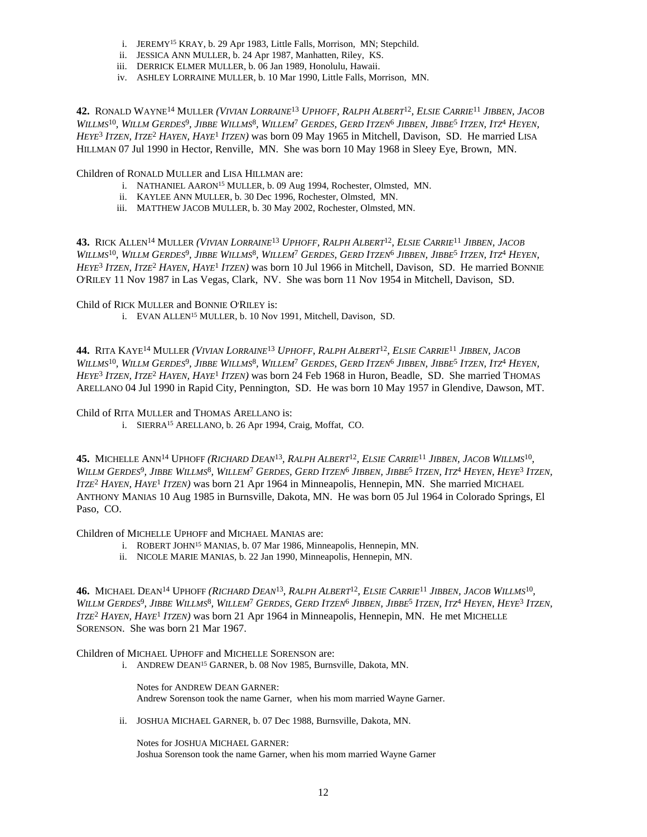- i. JEREMY<sup>15</sup> KRAY, b. 29 Apr 1983, Little Falls, Morrison, MN; Stepchild.
- ii. JESSICA ANN MULLER, b. 24 Apr 1987, Manhatten, Riley, KS.
- iii. DERRICK ELMER MULLER, b. 06 Jan 1989, Honolulu, Hawaii.
- iv. ASHLEY LORRAINE MULLER, b. 10 Mar 1990, Little Falls, Morrison, MN.

42. RONALD WAYNE<sup>14</sup> MULLER (VIVIAN LORRAINE<sup>13</sup> UPHOFF, RALPH ALBERT<sup>12</sup>, ELSIE CARRIE<sup>11</sup> JIBBEN, JACOB WILLMS<sup>10</sup>, WILLM GERDES<sup>9</sup>, JIBBE WILLMS<sup>8</sup>, WILLEM<sup>7</sup> GERDES, GERD ITZEN<sup>6</sup> JIBBEN, JIBBE<sup>5</sup> ITZEN, ITZ<sup>4</sup> HEYEN, *HEYE*<sup>3</sup>  *ITZEN, ITZE*<sup>2</sup>  *HAYEN, HAYE*<sup>1</sup>  *ITZEN)* was born 09 May 1965 in Mitchell, Davison, SD. He married LISA HILLMAN 07 Jul 1990 in Hector, Renville, MN. She was born 10 May 1968 in Sleey Eye, Brown, MN.

Children of RONALD MULLER and LISA HILLMAN are:

- i. NATHANIEL AARON<sup>15</sup> MULLER, b. 09 Aug 1994, Rochester, Olmsted, MN.
- ii. KAYLEE ANN MULLER, b. 30 Dec 1996, Rochester, Olmsted, MN.
- iii. MATTHEW JACOB MULLER, b. 30 May 2002, Rochester, Olmsted, MN.

43. RICK ALLEN<sup>14</sup> MULLER (VIVIAN LORRAINE<sup>13</sup> UPHOFF, RALPH ALBERT<sup>12</sup>, ELSIE CARRIE<sup>11</sup> JIBBEN, JACOB WILLMS<sup>10</sup>, WILLM GERDES<sup>9</sup>, JIBBE WILLMS<sup>8</sup>, WILLEM<sup>7</sup> GERDES, GERD ITZEN<sup>6</sup> JIBBEN, JIBBE<sup>5</sup> ITZEN, ITZ<sup>4</sup> HEYEN, *HEYE*<sup>3</sup>  *ITZEN, ITZE*<sup>2</sup>  *HAYEN, HAYE*<sup>1</sup>  *ITZEN)* was born 10 Jul 1966 in Mitchell, Davison, SD. He married BONNIE O'RILEY 11 Nov 1987 in Las Vegas, Clark, NV. She was born 11 Nov 1954 in Mitchell, Davison, SD.

Child of RICK MULLER and BONNIE O'RILEY is:

i. EVAN ALLEN<sup>15</sup> MULLER, b. 10 Nov 1991, Mitchell, Davison, SD.

44. RITA KAYE<sup>14</sup> MULLER (VIVIAN LORRAINE<sup>13</sup> UPHOFF, RALPH ALBERT<sup>12</sup>, ELSIE CARRIE<sup>11</sup> JIBBEN, JACOB WILLMS<sup>10</sup>, WILLM GERDES<sup>9</sup>, JIBBE WILLMS<sup>8</sup>, WILLEM<sup>7</sup> GERDES, GERD ITZEN<sup>6</sup> JIBBEN, JIBBE<sup>5</sup> ITZEN, ITZ<sup>4</sup> HEYEN, *HEYE*<sup>3</sup>  *ITZEN, ITZE*<sup>2</sup>  *HAYEN, HAYE*<sup>1</sup>  *ITZEN)* was born 24 Feb 1968 in Huron, Beadle, SD. She married THOMAS ARELLANO 04 Jul 1990 in Rapid City, Pennington, SD. He was born 10 May 1957 in Glendive, Dawson, MT.

Child of RITA MULLER and THOMAS ARELLANO is:

i. SIERRA<sup>15</sup> ARELLANO, b. 26 Apr 1994, Craig, Moffat, CO.

**45.** Michelle Ann<sup>14</sup> Uphoff (Richard Dean<sup>13</sup>, Ralph Albert<sup>12</sup>, Elsie Carrie<sup>11</sup> Jibben, Jacob Willms<sup>10</sup>, Willm Gerdes<sup>9</sup>, Jibbe Willms<sup>8</sup>, Willem<sup>7</sup> Gerdes, Gerd Itzen<sup>6</sup> Jibben, Jibbe<sup>5</sup> Itzen, Itz<sup>4</sup> Heyen, Heye<sup>3</sup> Itzen, *ITZE*<sup>2</sup>  *HAYEN, HAYE*<sup>1</sup>  *ITZEN)* was born 21 Apr 1964 in Minneapolis, Hennepin, MN. She married MICHAEL ANTHONY MANIAS 10 Aug 1985 in Burnsville, Dakota, MN. He was born 05 Jul 1964 in Colorado Springs, El Paso, CO.

Children of MICHELLE UPHOFF and MICHAEL MANIAS are:

- i. ROBERT JOHN<sup>15</sup> MANIAS, b. 07 Mar 1986, Minneapolis, Hennepin, MN.
- ii. NICOLE MARIE MANIAS, b. 22 Jan 1990, Minneapolis, Hennepin, MN.

**46.** Michael Dean<sup>14</sup> Uphoff (Richard Dean<sup>13</sup>, Ralph Albert<sup>12</sup>, Elsie Carrie<sup>11</sup> Jibben, Jacob Willms<sup>10</sup>, Willm Gerdes<sup>9</sup>, Jibbe Willms<sup>8</sup>, Willem<sup>7</sup> Gerdes, Gerd Itzen<sup>6</sup> Jibben, Jibbe<sup>5</sup> Itzen, Itz<sup>4</sup> Heyen, Heye<sup>3</sup> Itzen, *ITZE*<sup>2</sup>  *HAYEN, HAYE*<sup>1</sup>  *ITZEN)* was born 21 Apr 1964 in Minneapolis, Hennepin, MN. He met MICHELLE SORENSON. She was born 21 Mar 1967.

Children of MICHAEL UPHOFF and MICHELLE SORENSON are:

i. ANDREW DEAN<sup>15</sup> GARNER, b. 08 Nov 1985, Burnsville, Dakota, MN.

Notes for ANDREW DEAN GARNER: Andrew Sorenson took the name Garner, when his mom married Wayne Garner.

ii. JOSHUA MICHAEL GARNER, b. 07 Dec 1988, Burnsville, Dakota, MN.

Notes for JOSHUA MICHAEL GARNER: Joshua Sorenson took the name Garner, when his mom married Wayne Garner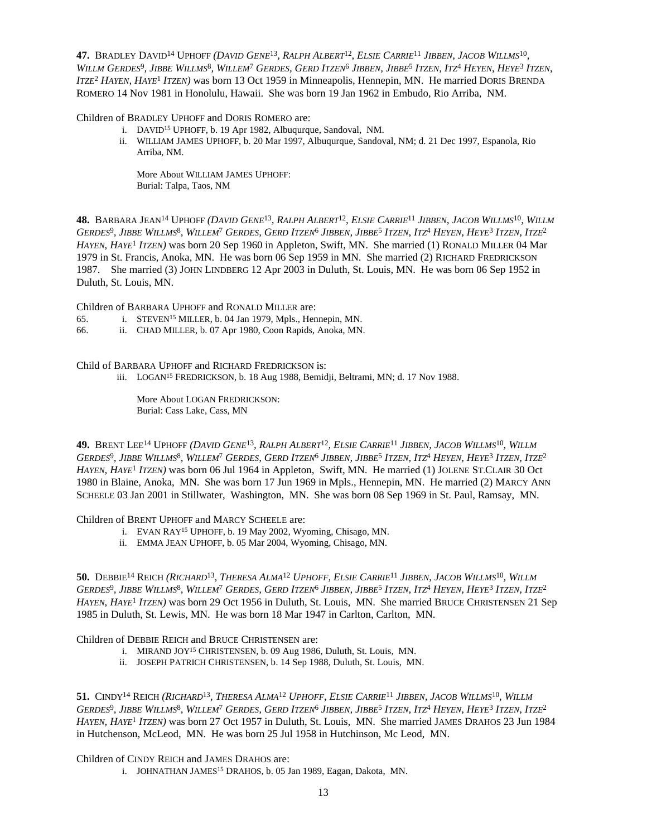47. BRADLEY DAVID<sup>14</sup> UPHOFF (*DAVID GENE<sup>13</sup>, RALPH ALBERT<sup>12</sup>, ELSIE CARRIE<sup>11</sup> JIBBEN, JACOB WILLMS<sup>10</sup>,* Willm Gerdes<sup>9</sup>, Jibbe Willms<sup>8</sup>, Willem<sup>7</sup> Gerdes, Gerd Itzen<sup>6</sup> Jibben, Jibbe<sup>5</sup> Itzen, Itz<sup>4</sup> Heyen, Heye<sup>3</sup> Itzen, *ITZE*<sup>2</sup>  *HAYEN, HAYE*<sup>1</sup>  *ITZEN)* was born 13 Oct 1959 in Minneapolis, Hennepin, MN. He married DORIS BRENDA ROMERO 14 Nov 1981 in Honolulu, Hawaii. She was born 19 Jan 1962 in Embudo, Rio Arriba, NM.

Children of BRADLEY UPHOFF and DORIS ROMERO are:

- i. DAVID<sup>15</sup> UPHOFF, b. 19 Apr 1982, Albuqurque, Sandoval, NM.
- ii. WILLIAM JAMES UPHOFF, b. 20 Mar 1997, Albuqurque, Sandoval, NM; d. 21 Dec 1997, Espanola, Rio Arriba, NM.

More About WILLIAM JAMES UPHOFF: Burial: Talpa, Taos, NM

48. BARBARA JEAN<sup>14</sup> UPHOFF (DAVID GENE<sup>13</sup>, RALPH ALBERT<sup>12</sup>, ELSIE CARRIE<sup>11</sup> JIBBEN, JACOB WILLMS<sup>10</sup>, WILLM Gerdes<sup>9</sup>, Jibbe Willms<sup>8</sup>, Willem<sup>7</sup> Gerdes, Gerd Itzen<sup>6</sup> Jibben, Jibbe<sup>5</sup> Itzen, Itz<sup>4</sup> Heyen, Heye<sup>3</sup> Itzen, Itze<sup>2</sup> *HAYEN, HAYE*<sup>1</sup>  *ITZEN)* was born 20 Sep 1960 in Appleton, Swift, MN. She married (1) RONALD MILLER 04 Mar 1979 in St. Francis, Anoka, MN. He was born 06 Sep 1959 in MN. She married (2) RICHARD FREDRICKSON 1987. She married (3) JOHN LINDBERG 12 Apr 2003 in Duluth, St. Louis, MN. He was born 06 Sep 1952 in Duluth, St. Louis, MN.

Children of BARBARA UPHOFF and RONALD MILLER are:

- 65. i. STEVEN<sup>15</sup> MILLER, b. 04 Jan 1979, Mpls., Hennepin, MN.
- 66. ii. CHAD MILLER, b. 07 Apr 1980, Coon Rapids, Anoka, MN.

Child of BARBARA UPHOFF and RICHARD FREDRICKSON is:

iii. LOGAN<sup>15</sup> FREDRICKSON, b. 18 Aug 1988, Bemidji, Beltrami, MN; d. 17 Nov 1988.

More About LOGAN FREDRICKSON: Burial: Cass Lake, Cass, MN

49. BRENT LEE<sup>14</sup> UPHOFF (DAVID GENE<sup>13</sup>, RALPH ALBERT<sup>12</sup>, ELSIE CARRIE<sup>11</sup> JIBBEN, JACOB WILLMS<sup>10</sup>, WILLM Gerdes<sup>9</sup>, Jibbe Willms<sup>8</sup>, Willem<sup>7</sup> Gerdes, Gerd Itzen<sup>6</sup> Jibben, Jibbe<sup>5</sup> Itzen, Itz<sup>4</sup> Heyen, Heye<sup>3</sup> Itzen, Itze<sup>2</sup> *HAYEN, HAYE*<sup>1</sup>  *ITZEN)* was born 06 Jul 1964 in Appleton, Swift, MN. He married (1) JOLENE ST.CLAIR 30 Oct 1980 in Blaine, Anoka, MN. She was born 17 Jun 1969 in Mpls., Hennepin, MN. He married (2) MARCY ANN SCHEELE 03 Jan 2001 in Stillwater, Washington, MN. She was born 08 Sep 1969 in St. Paul, Ramsay, MN.

Children of BRENT UPHOFF and MARCY SCHEELE are:

- i. EVAN RAY<sup>15</sup> UPHOFF, b. 19 May 2002, Wyoming, Chisago, MN.
- ii. EMMA JEAN UPHOFF, b. 05 Mar 2004, Wyoming, Chisago, MN.

50. DEBBIE<sup>14</sup> REICH (RICHARD<sup>13</sup>, THERESA ALMA<sup>12</sup> UPHOFF, ELSIE CARRIE<sup>11</sup> JIBBEN, JACOB WILLMS<sup>10</sup>, WILLM Gerdes<sup>9</sup>, Jibbe Willms<sup>8</sup>, Willem<sup>7</sup> Gerdes, Gerd Itzen<sup>6</sup> Jibben, Jibbe<sup>5</sup> Itzen, Itz<sup>4</sup> Heyen, Heye<sup>3</sup> Itzen, Itze<sup>2</sup> *HAYEN, HAYE*<sup>1</sup>  *ITZEN)* was born 29 Oct 1956 in Duluth, St. Louis, MN. She married BRUCE CHRISTENSEN 21 Sep 1985 in Duluth, St. Lewis, MN. He was born 18 Mar 1947 in Carlton, Carlton, MN.

Children of DEBBIE REICH and BRUCE CHRISTENSEN are:

- i. MIRAND JOY<sup>15</sup> CHRISTENSEN, b. 09 Aug 1986, Duluth, St. Louis, MN.
- ii. JOSEPH PATRICH CHRISTENSEN, b. 14 Sep 1988, Duluth, St. Louis, MN.

51. CINDY<sup>14</sup> REICH (RICHARD<sup>13</sup>, THERESA ALMA<sup>12</sup> UPHOFF, ELSIE CARRIE<sup>11</sup> JIBBEN, JACOB WILLMS<sup>10</sup>, WILLM Gerdes<sup>9</sup>, Jibbe Willms<sup>8</sup>, Willem<sup>7</sup> Gerdes, Gerd Itzen<sup>6</sup> Jibben, Jibbe<sup>5</sup> Itzen, Itz<sup>4</sup> Heyen, Heye<sup>3</sup> Itzen, Itze<sup>2</sup> *HAYEN, HAYE*<sup>1</sup>  *ITZEN)* was born 27 Oct 1957 in Duluth, St. Louis, MN. She married JAMES DRAHOS 23 Jun 1984 in Hutchenson, McLeod, MN. He was born 25 Jul 1958 in Hutchinson, Mc Leod, MN.

Children of CINDY REICH and JAMES DRAHOS are:

i. JOHNATHAN JAMES<sup>15</sup> DRAHOS, b. 05 Jan 1989, Eagan, Dakota, MN.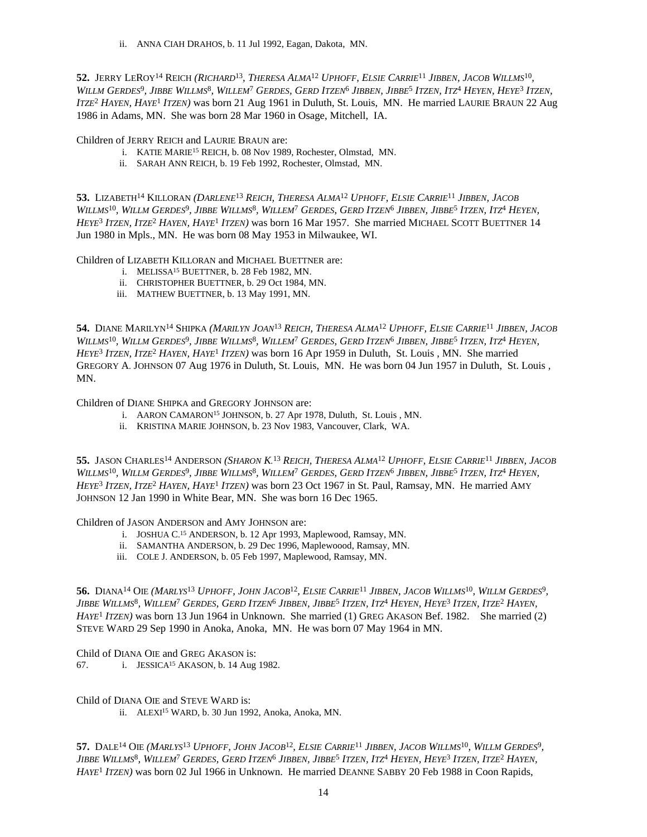ii. ANNA CIAH DRAHOS, b. 11 Jul 1992, Eagan, Dakota, MN.

52. Jerry LeRoy<sup>14</sup> Reich (*Richard<sup>13</sup>, Theresa Alma<sup>12</sup> Uphoff, Elsie Carrie<sup>11</sup> Jibben, Jacob Willms<sup>10</sup>,* Willm Gerdes<sup>9</sup>, Jibbe Willms<sup>8</sup>, Willem<sup>7</sup> Gerdes, Gerd Itzen<sup>6</sup> Jibben, Jibbe<sup>5</sup> Itzen, Itz<sup>4</sup> Heyen, Heye<sup>3</sup> Itzen, *ITZE*<sup>2</sup>  *HAYEN, HAYE*<sup>1</sup>  *ITZEN)* was born 21 Aug 1961 in Duluth, St. Louis, MN. He married LAURIE BRAUN 22 Aug 1986 in Adams, MN. She was born 28 Mar 1960 in Osage, Mitchell, IA.

Children of JERRY REICH and LAURIE BRAUN are:

- i. KATIE MARIE<sup>15</sup> REICH, b. 08 Nov 1989, Rochester, Olmstad, MN.
- ii. SARAH ANN REICH, b. 19 Feb 1992, Rochester, Olmstad, MN.

53. LIZABETH<sup>14</sup> KILLORAN (DARLENE<sup>13</sup> REICH, THERESA ALMA<sup>12</sup> UPHOFF, ELSIE CARRIE<sup>11</sup> JIBBEN, JACOB WILLMS<sup>10</sup>, WILLM GERDES<sup>9</sup>, JIBBE WILLMS<sup>8</sup>, WILLEM<sup>7</sup> GERDES, GERD ITZEN<sup>6</sup> JIBBEN, JIBBE<sup>5</sup> ITZEN, ITZ<sup>4</sup> HEYEN, *HEYE*<sup>3</sup>  *ITZEN, ITZE*<sup>2</sup>  *HAYEN, HAYE*<sup>1</sup>  *ITZEN)* was born 16 Mar 1957. She married MICHAEL SCOTT BUETTNER 14 Jun 1980 in Mpls., MN. He was born 08 May 1953 in Milwaukee, WI.

Children of LIZABETH KILLORAN and MICHAEL BUETTNER are:

- i. MELISSA<sup>15</sup> BUETTNER, b. 28 Feb 1982, MN.
- ii. CHRISTOPHER BUETTNER, b. 29 Oct 1984, MN.
- iii. MATHEW BUETTNER, b. 13 May 1991, MN.

54. DIANE MARILYN<sup>14</sup> SHIPKA (MARILYN JOAN<sup>13</sup> REICH, THERESA ALMA<sup>12</sup> UPHOFF, ELSIE CARRIE<sup>11</sup> JIBBEN, JACOB WILLMS<sup>10</sup>, WILLM GERDES<sup>9</sup>, JIBBE WILLMS<sup>8</sup>, WILLEM<sup>7</sup> GERDES, GERD ITZEN<sup>6</sup> JIBBEN, JIBBE<sup>5</sup> ITZEN, ITZ<sup>4</sup> HEYEN, *HEYE*<sup>3</sup>  *ITZEN, ITZE*<sup>2</sup>  *HAYEN, HAYE*<sup>1</sup>  *ITZEN)* was born 16 Apr 1959 in Duluth, St. Louis , MN. She married GREGORY A. JOHNSON 07 Aug 1976 in Duluth, St. Louis, MN. He was born 04 Jun 1957 in Duluth, St. Louis , MN.

Children of DIANE SHIPKA and GREGORY JOHNSON are:

- i. AARON CAMARON<sup>15</sup> JOHNSON, b. 27 Apr 1978, Duluth, St. Louis, MN.
- ii. KRISTINA MARIE JOHNSON, b. 23 Nov 1983, Vancouver, Clark, WA.

55. JASON CHARLES<sup>14</sup> ANDERSON (*Sharon K.<sup>13</sup> Reich, Theresa Alma<sup>12</sup> Uphoff, Elsie Carrie<sup>11</sup> Jibben, Jacob* WILLMS<sup>10</sup>, WILLM GERDES<sup>9</sup>, JIBBE WILLMS<sup>8</sup>, WILLEM<sup>7</sup> GERDES, GERD ITZEN<sup>6</sup> JIBBEN, JIBBE<sup>5</sup> ITZEN, ITZ<sup>4</sup> HEYEN, *HEYE*<sup>3</sup>  *ITZEN, ITZE*<sup>2</sup>  *HAYEN, HAYE*<sup>1</sup>  *ITZEN)* was born 23 Oct 1967 in St. Paul, Ramsay, MN. He married AMY JOHNSON 12 Jan 1990 in White Bear, MN. She was born 16 Dec 1965.

Children of JASON ANDERSON and AMY JOHNSON are:

- i. JOSHUA C. <sup>15</sup> ANDERSON, b. 12 Apr 1993, Maplewood, Ramsay, MN.
- ii. SAMANTHA ANDERSON, b. 29 Dec 1996, Maplewoood, Ramsay, MN.
- iii. COLE J. ANDERSON, b. 05 Feb 1997, Maplewood, Ramsay, MN.

56. Diana<sup>14</sup> Oie (Marlys<sup>13</sup> Uphoff, John Jacob<sup>12</sup>, Elsie Carrie<sup>11</sup> Jibben, Jacob Willms<sup>10</sup>, Willm Gerdes<sup>9</sup>, Jibbe Willms<sup>8</sup>, Willem<sup>7</sup> Gerdes, Gerd Itzen<sup>6</sup> Jibben, Jibbe<sup>5</sup> Itzen, Itz<sup>4</sup> Heyen, Heye<sup>3</sup> Itzen, Itze<sup>2</sup> Hayen, *HAYE*<sup>1</sup>  *ITZEN)* was born 13 Jun 1964 in Unknown. She married (1) GREG AKASON Bef. 1982. She married (2) STEVE WARD 29 Sep 1990 in Anoka, Anoka, MN. He was born 07 May 1964 in MN.

Child of DIANA OIE and GREG AKASON is: 67. i. JESSICA<sup>15</sup> AKASON, b. 14 Aug 1982.

Child of DIANA OIE and STEVE WARD is:

ii. ALEXI<sup>15</sup> WARD, b. 30 Jun 1992, Anoka, Anoka, MN.

57. DALE<sup>14</sup> OIE (MARLYS<sup>13</sup> UPHOFF, JOHN JACOB<sup>12</sup>, ELSIE CARRIE<sup>11</sup> JIBBEN, JACOB WILLMS<sup>10</sup>, WILLM GERDES<sup>9</sup>, Jibbe Willms<sup>8</sup>, Willem<sup>7</sup> Gerdes, Gerd Itzen<sup>6</sup> Jibben, Jibbe<sup>5</sup> Itzen, Itz<sup>4</sup> Heyen, Heye<sup>3</sup> Itzen, Itze<sup>2</sup> Hayen, *HAYE*<sup>1</sup>  *ITZEN)* was born 02 Jul 1966 in Unknown. He married DEANNE SABBY 20 Feb 1988 in Coon Rapids,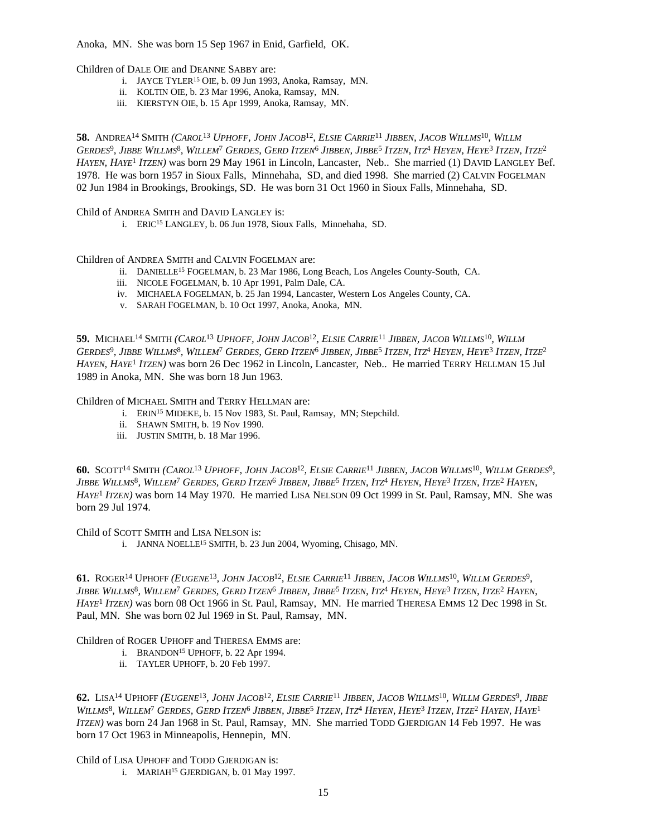Anoka, MN. She was born 15 Sep 1967 in Enid, Garfield, OK.

Children of DALE OIE and DEANNE SABBY are:

- i. JAYCE TYLER<sup>15</sup> OIE, b. 09 Jun 1993, Anoka, Ramsay, MN.
- ii. KOLTIN OIE, b. 23 Mar 1996, Anoka, Ramsay, MN.
- iii. KIERSTYN OIE, b. 15 Apr 1999, Anoka, Ramsay, MN.

58. ANDREA<sup>14</sup> SMITH (CAROL<sup>13</sup> UPHOFF, JOHN JACOB<sup>12</sup>, ELSIE CARRIE<sup>11</sup> JIBBEN, JACOB WILLMS<sup>10</sup>, WILLM Gerdes<sup>9</sup>, Jibbe Willms<sup>8</sup>, Willem<sup>7</sup> Gerdes, Gerd Itzen<sup>6</sup> Jibben, Jibbe<sup>5</sup> Itzen, Itz<sup>4</sup> Heyen, Heye<sup>3</sup> Itzen, Itze<sup>2</sup> *HAYEN, HAYE*<sup>1</sup>  *ITZEN)* was born 29 May 1961 in Lincoln, Lancaster, Neb.. She married (1) DAVID LANGLEY Bef. 1978. He was born 1957 in Sioux Falls, Minnehaha, SD, and died 1998. She married (2) CALVIN FOGELMAN 02 Jun 1984 in Brookings, Brookings, SD. He was born 31 Oct 1960 in Sioux Falls, Minnehaha, SD.

Child of ANDREA SMITH and DAVID LANGLEY is:

i. ERIC<sup>15</sup> LANGLEY, b. 06 Jun 1978, Sioux Falls, Minnehaha, SD.

Children of ANDREA SMITH and CALVIN FOGELMAN are:

- ii. DANIELLE<sup>15</sup> FOGELMAN, b. 23 Mar 1986, Long Beach, Los Angeles County-South, CA.
- iii. NICOLE FOGELMAN, b. 10 Apr 1991, Palm Dale, CA.
- iv. MICHAELA FOGELMAN, b. 25 Jan 1994, Lancaster, Western Los Angeles County, CA.
- v. SARAH FOGELMAN, b. 10 Oct 1997, Anoka, Anoka, MN.

59. MICHAEL<sup>14</sup> SMITH (CAROL<sup>13</sup> UPHOFF, JOHN JACOB<sup>12</sup>, ELSIE CARRIE<sup>11</sup> JIBBEN, JACOB WILLMS<sup>10</sup>, WILLM Gerdes<sup>9</sup>, Jibbe Willms<sup>8</sup>, Willem<sup>7</sup> Gerdes, Gerd Itzen<sup>6</sup> Jibben, Jibbe<sup>5</sup> Itzen, Itz<sup>4</sup> Heyen, Heye<sup>3</sup> Itzen, Itze<sup>2</sup> *HAYEN, HAYE*<sup>1</sup>  *ITZEN)* was born 26 Dec 1962 in Lincoln, Lancaster, Neb.. He married TERRY HELLMAN 15 Jul 1989 in Anoka, MN. She was born 18 Jun 1963.

Children of MICHAEL SMITH and TERRY HELLMAN are:

- i. ERIN<sup>15</sup> MIDEKE, b. 15 Nov 1983, St. Paul, Ramsay, MN; Stepchild.
- ii. SHAWN SMITH, b. 19 Nov 1990.
- iii. JUSTIN SMITH, b. 18 Mar 1996.

60. Scott<sup>14</sup> Smith (Carol<sup>13</sup> Uphoff, John Jacob<sup>12</sup>, Elsie Carrie<sup>11</sup> Jibben, Jacob Willms<sup>10</sup>, Willm Gerdes<sup>9</sup>, Jibbe Willms<sup>8</sup>, Willem<sup>7</sup> Gerdes, Gerd Itzen<sup>6</sup> Jibben, Jibbe<sup>5</sup> Itzen, Itz<sup>4</sup> Heyen, Heye<sup>3</sup> Itzen, Itze<sup>2</sup> Hayen, *HAYE*<sup>1</sup>  *ITZEN)* was born 14 May 1970. He married LISA NELSON 09 Oct 1999 in St. Paul, Ramsay, MN. She was born 29 Jul 1974.

Child of SCOTT SMITH and LISA NELSON is:

i. JANNA NOELLE<sup>15</sup> SMITH, b. 23 Jun 2004, Wyoming, Chisago, MN.

61. ROGER<sup>14</sup> UPHOFF (EUGENE<sup>13</sup>, JOHN JACOB<sup>12</sup>, ELSIE CARRIE<sup>11</sup> JIBBEN, JACOB WILLMS<sup>10</sup>, WILLM GERDES<sup>9</sup>, Jibbe Willms<sup>8</sup>, Willem<sup>7</sup> Gerdes, Gerd Itzen<sup>6</sup> Jibben, Jibbe<sup>5</sup> Itzen, Itz<sup>4</sup> Heyen, Heye<sup>3</sup> Itzen, Itze<sup>2</sup> Hayen, *HAYE*<sup>1</sup>  *ITZEN)* was born 08 Oct 1966 in St. Paul, Ramsay, MN. He married THERESA EMMS 12 Dec 1998 in St. Paul, MN. She was born 02 Jul 1969 in St. Paul, Ramsay, MN.

Children of ROGER UPHOFF and THERESA EMMS are:

- i. BRANDON<sup>15</sup> UPHOFF, b. 22 Apr 1994.
- ii. TAYLER UPHOFF, b. 20 Feb 1997.

**62.** Lisa<sup>14</sup> Uphoff (Eugene<sup>13</sup>, John Jacob<sup>12</sup>, Elsie Carrie<sup>11</sup> Jibben, Jacob Willms<sup>10</sup>, Willm Gerdes<sup>9</sup>, Jibbe WILLMS<sup>8</sup>, WILLEM<sup>7</sup> Gerdes, Gerd Itzen<sup>6</sup> Jibben, Jibbe<sup>5</sup> Itzen, Itz<sup>4</sup> Heyen, Heye<sup>3</sup> Itzen, Itze<sup>2</sup> Hayen, Haye<sup>1</sup> *ITZEN)* was born 24 Jan 1968 in St. Paul, Ramsay, MN. She married TODD GJERDIGAN 14 Feb 1997. He was born 17 Oct 1963 in Minneapolis, Hennepin, MN.

Child of LISA UPHOFF and TODD GJERDIGAN is:

i. MARIAH<sup>15</sup> GJERDIGAN, b. 01 May 1997.